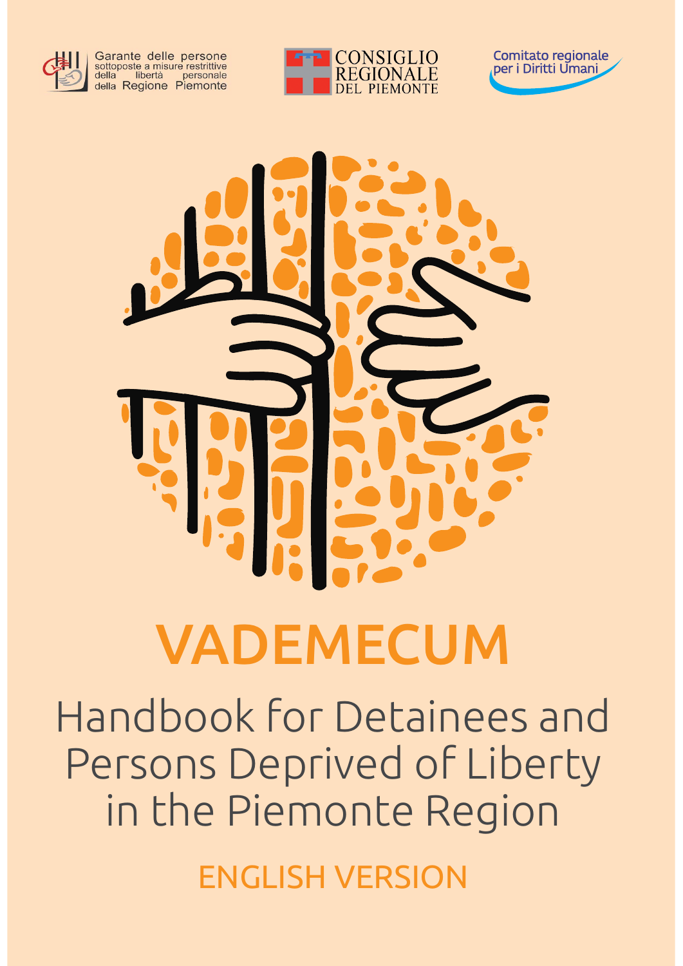

Garante delle persone<br>sottoposte a misure restrittive<br>della libertà personale<br>della Regione Piemonte







# VADEMECUM

Handbook for Detainees and Persons Deprived of Liberty in the Piemonte Region

ENGLISH VERSION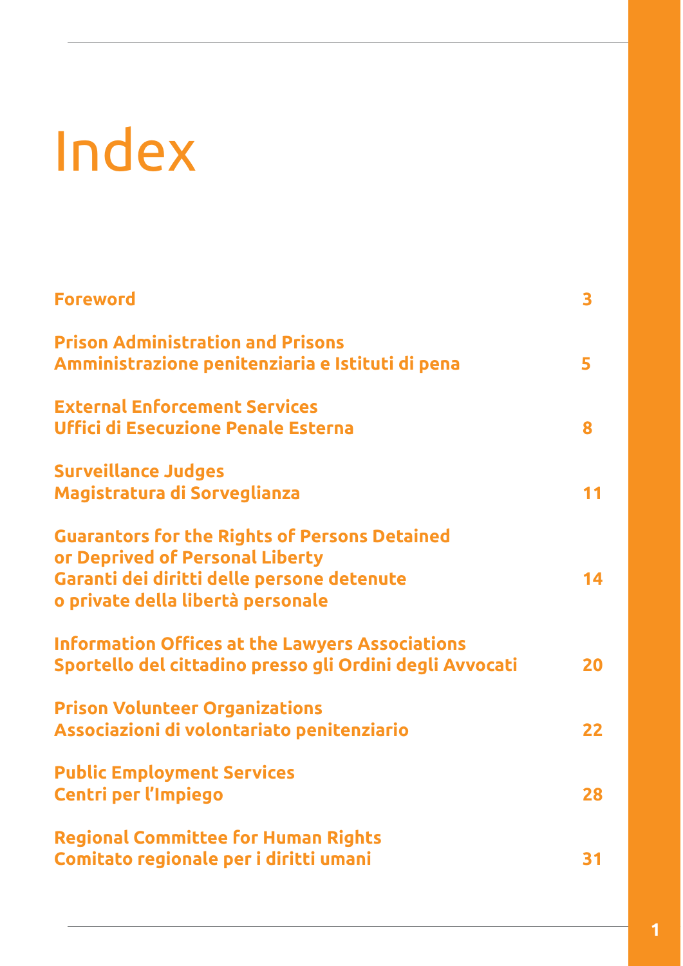# Index

| <b>Foreword</b>                                                                                                                                                            | 3  |
|----------------------------------------------------------------------------------------------------------------------------------------------------------------------------|----|
| <b>Prison Administration and Prisons</b><br>Amministrazione penitenziaria e Istituti di pena                                                                               | 5  |
| <b>External Enforcement Services</b><br><b>Uffici di Esecuzione Penale Esterna</b>                                                                                         | 8  |
| <b>Surveillance Judges</b><br>Magistratura di Sorveglianza                                                                                                                 | 11 |
| <b>Guarantors for the Rights of Persons Detained</b><br>or Deprived of Personal Liberty<br>Garanti dei diritti delle persone detenute<br>o private della libertà personale | 14 |
| <b>Information Offices at the Lawyers Associations</b><br>Sportello del cittadino presso gli Ordini degli Avvocati                                                         | 20 |
| <b>Prison Volunteer Organizations</b><br>Associazioni di volontariato penitenziario                                                                                        | 22 |
| <b>Public Employment Services</b><br><b>Centri per l'Impiego</b>                                                                                                           | 28 |
| <b>Regional Committee for Human Rights</b><br>Comitato regionale per i diritti umani                                                                                       | 31 |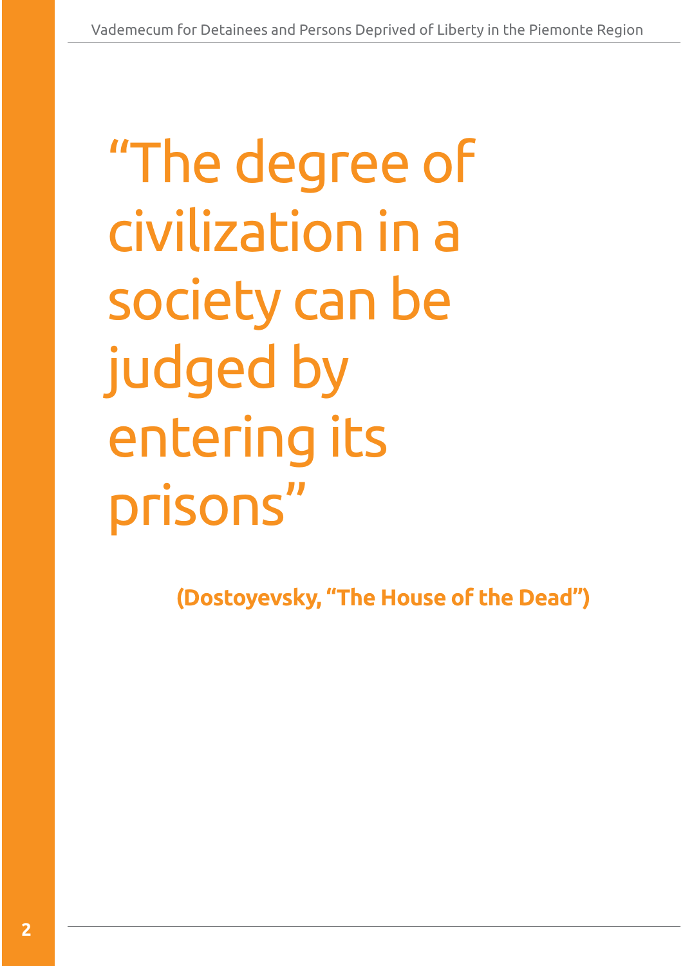# "The degree of civilization in a society can be judged by entering its prisons"

**(Dostoyevsky, "The House of the Dead")**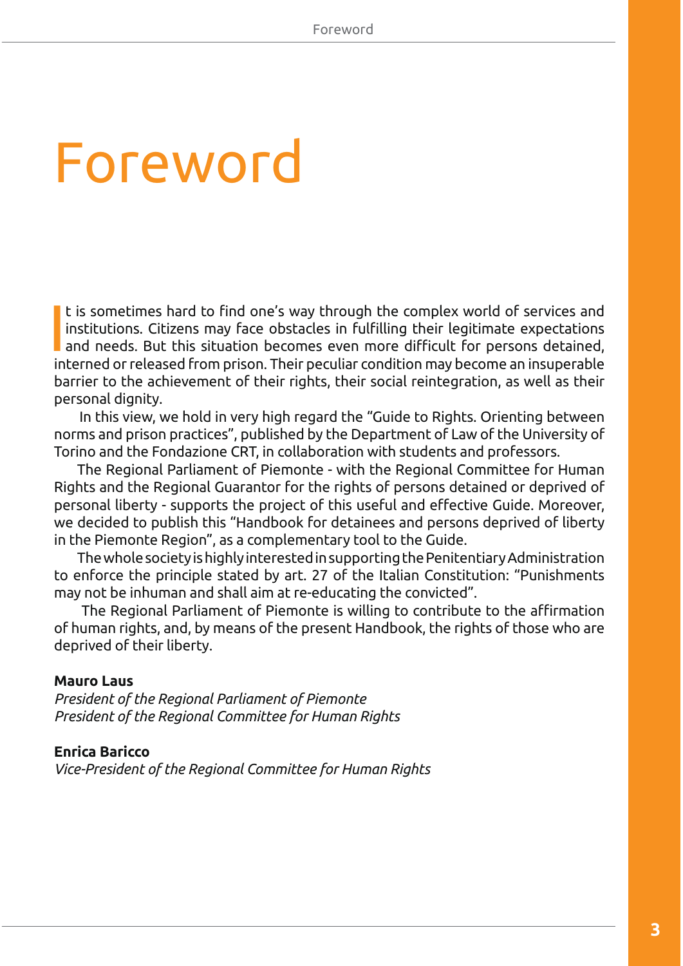# **Foreword**

**I**<br>In t is sometimes hard to find one's way through the complex world of services and institutions. Citizens may face obstacles in fulfilling their legitimate expectations and needs. But this situation becomes even more difficult for persons detained, interned or released from prison. Their peculiar condition may become an insuperable barrier to the achievement of their rights, their social reintegration, as well as their personal dignity.

In this view, we hold in very high regard the "Guide to Rights. Orienting between norms and prison practices", published by the Department of Law of the University of Torino and the Fondazione CRT, in collaboration with students and professors.

The Regional Parliament of Piemonte - with the Regional Committee for Human Rights and the Regional Guarantor for the rights of persons detained or deprived of personal liberty - supports the project of this useful and effective Guide. Moreover, we decided to publish this "Handbook for detainees and persons deprived of liberty in the Piemonte Region", as a complementary tool to the Guide.

The whole society is highly interested in supporting the Penitentiary Administration to enforce the principle stated by art. 27 of the Italian Constitution: "Punishments may not be inhuman and shall aim at re-educating the convicted".

The Regional Parliament of Piemonte is willing to contribute to the affirmation of human rights, and, by means of the present Handbook, the rights of those who are deprived of their liberty.

#### **Mauro Laus**

*President of the Regional Parliament of Piemonte President of the Regional Committee for Human Rights*

#### **Enrica Baricco**

*Vice-President of the Regional Committee for Human Rights*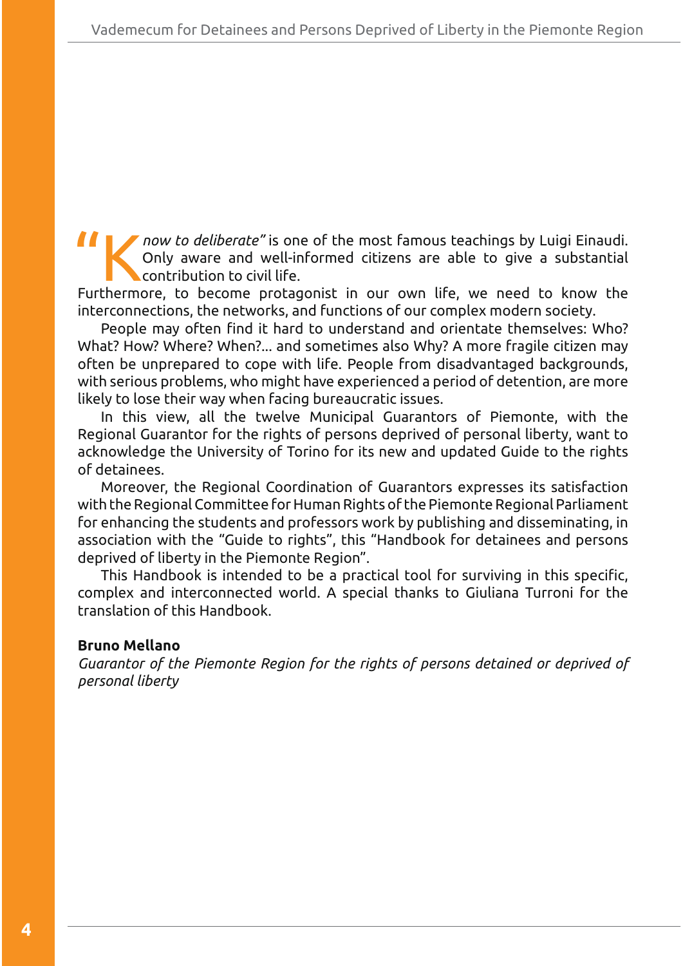**KKP** now to deliberate" is one of the most famous teachings by Luigi Einaudi. Only aware and well-informed citizens are able to give a substantial contribution to civil life.

Furthermore, to become protagonist in our own life, we need to know the interconnections, the networks, and functions of our complex modern society.

People may often find it hard to understand and orientate themselves: Who? What? How? Where? When?... and sometimes also Why? A more fragile citizen may often be unprepared to cope with life. People from disadvantaged backgrounds, with serious problems, who might have experienced a period of detention, are more likely to lose their way when facing bureaucratic issues.

In this view, all the twelve Municipal Guarantors of Piemonte, with the Regional Guarantor for the rights of persons deprived of personal liberty, want to acknowledge the University of Torino for its new and updated Guide to the rights of detainees.

Moreover, the Regional Coordination of Guarantors expresses its satisfaction with the Regional Committee for Human Rights of the Piemonte Regional Parliament for enhancing the students and professors work by publishing and disseminating, in association with the "Guide to rights", this "Handbook for detainees and persons deprived of liberty in the Piemonte Region".

This Handbook is intended to be a practical tool for surviving in this specific, complex and interconnected world. A special thanks to Giuliana Turroni for the translation of this Handbook.

#### **Bruno Mellano**

*Guarantor of the Piemonte Region for the rights of persons detained or deprived of personal liberty*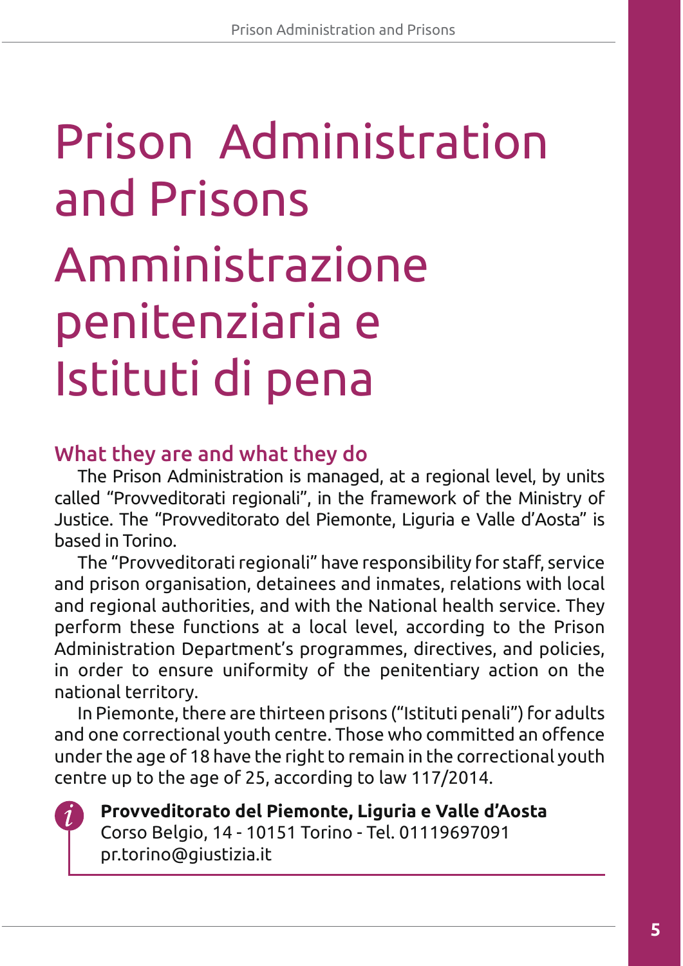# Amministrazione penitenziaria e Istituti di pena Prison Administration and Prisons

# What they are and what they do

The Prison Administration is managed, at a regional level, by units called "Provveditorati regionali", in the framework of the Ministry of Justice. The "Provveditorato del Piemonte, Liguria e Valle d'Aosta" is based in Torino.

The "Provveditorati regionali" have responsibility for staff, service and prison organisation, detainees and inmates, relations with local and regional authorities, and with the National health service. They perform these functions at a local level, according to the Prison Administration Department's programmes, directives, and policies, in order to ensure uniformity of the penitentiary action on the national territory.

In Piemonte, there are thirteen prisons ("Istituti penali") for adults and one correctional youth centre. Those who committed an offence under the age of 18 have the right to remain in the correctional youth centre up to the age of 25, according to law 117/2014.



**Provveditorato del Piemonte, Liguria e Valle d'Aosta** Corso Belgio, 14 - 10151 Torino - Tel. 01119697091 pr.torino@giustizia.it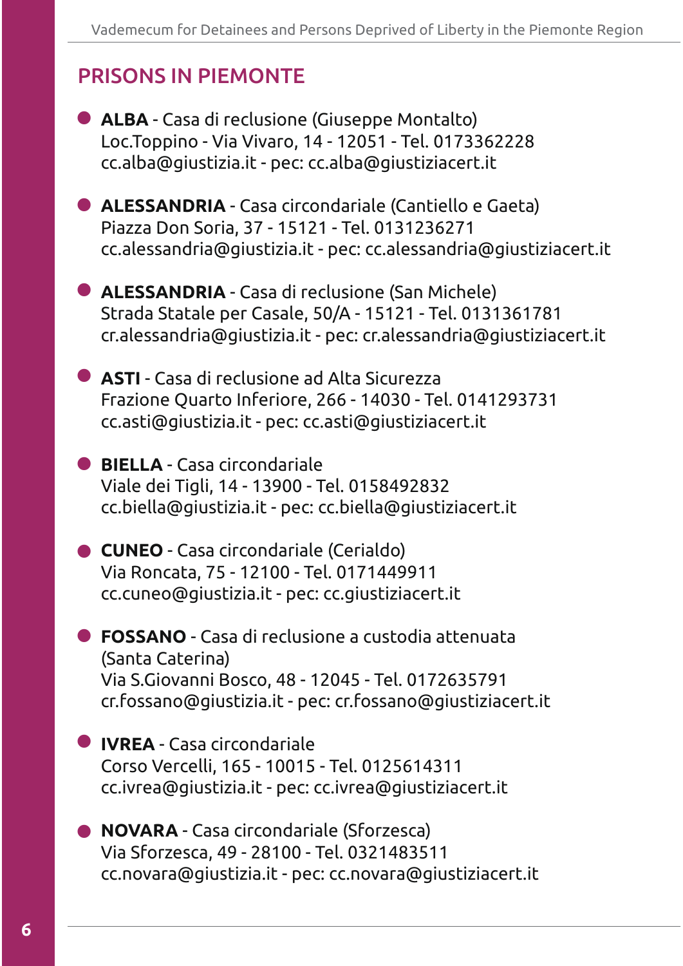# PRISONS IN PIEMONTE

**• ALBA** - Casa di reclusione (Giuseppe Montalto) Loc.Toppino - Via Vivaro, 14 - 12051 - Tel. 0173362228 cc.alba@giustizia.it - pec: cc.alba@giustiziacert.it **CALESSANDRIA** - Casa circondariale (Cantiello e Gaeta) Piazza Don Soria, 37 - 15121 - Tel. 0131236271 cc.alessandria@giustizia.it - pec: cc.alessandria@giustiziacert.it **• ALESSANDRIA** - Casa di reclusione (San Michele) Strada Statale per Casale, 50/A - 15121 - Tel. 0131361781 cr.alessandria@giustizia.it - pec: cr.alessandria@giustiziacert.it **• ASTI** - Casa di reclusione ad Alta Sicurezza Frazione Quarto Inferiore, 266 - 14030 - Tel. 0141293731 cc.asti@giustizia.it - pec: cc.asti@giustiziacert.it **BIELLA** - Casa circondariale Viale dei Tigli, 14 - 13900 - Tel. 0158492832 cc.biella@giustizia.it - pec: cc.biella@giustiziacert.it **CUNEO** - Casa circondariale (Cerialdo) Via Roncata, 75 - 12100 - Tel. 0171449911 cc.cuneo@giustizia.it - pec: cc.giustiziacert.it **FOSSANO** - Casa di reclusione a custodia attenuata - (Santa Caterina) Via S.Giovanni Bosco, 48 - 12045 - Tel. 0172635791 cr.fossano@giustizia.it - pec: cr.fossano@giustiziacert.it **IVREA** - Casa circondariale Corso Vercelli, 165 - 10015 - Tel. 0125614311 cc.ivrea@giustizia.it - pec: cc.ivrea@giustiziacert.it **• NOVARA** - Casa circondariale (Sforzesca) Via Sforzesca, 49 - 28100 - Tel. 0321483511 cc.novara@giustizia.it - pec: cc.novara@giustiziacert.it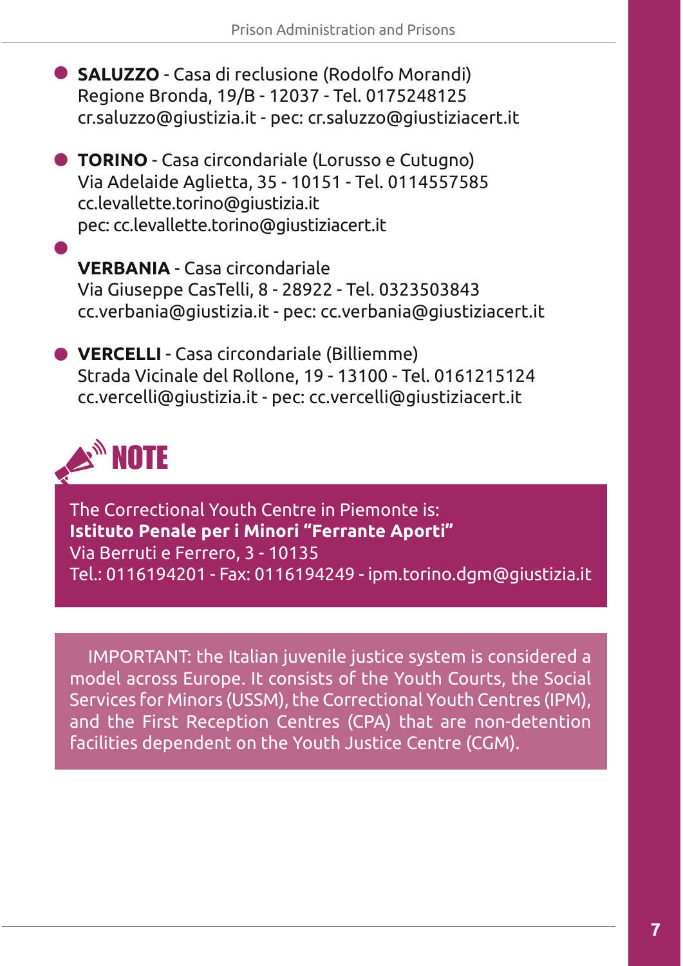- **SALUZZO** Casa di reclusione (Rodolfo Morandi) Regione Bronda, 19/B - 12037 - Tel. 0175248125 cr.saluzzo@giustizia.it - pec: cr.saluzzo@giustiziacert.it
- **TORINO** Casa circondariale (Lorusso e Cutugno) Via Adelaide Aglietta, 35 - 10151 - Tel. 0114557585 cc.levallette.torino@giustizia.it pec: cc.levallette.torino@giustiziacert.it
	- **VERBANIA** Casa circondariale Via Giuseppe CasTelli, 8 - 28922 - Tel. 0323503843 cc.verbania@giustizia.it - pec: cc.verbania@giustiziacert.it
- $\bullet$  VERCELLI Casa circondariale (Billiemme) Strada Vicinale del Rollone, 19 - 13100 - Tel. 0161215124 cc.vercelli@giustizia.it - pec: cc.vercelli@giustiziacert.it

# NOTE

-

The Correctional Youth Centre in Piemonte is: **Istituto Penale per i Minori "Ferrante Aporti"**  Via Berruti e Ferrero, 3 - 10135 Tel.: 0116194201 - Fax: 0116194249 - ipm.torino.dgm@giustizia.it

IMPORTANT: the Italian juvenile justice system is considered a model across Europe. It consists of the Youth Courts, the Social Services for Minors (USSM), the Correctional Youth Centres (IPM), and the First Reception Centres (CPA) that are non-detention facilities dependent on the Youth Justice Centre (CGM).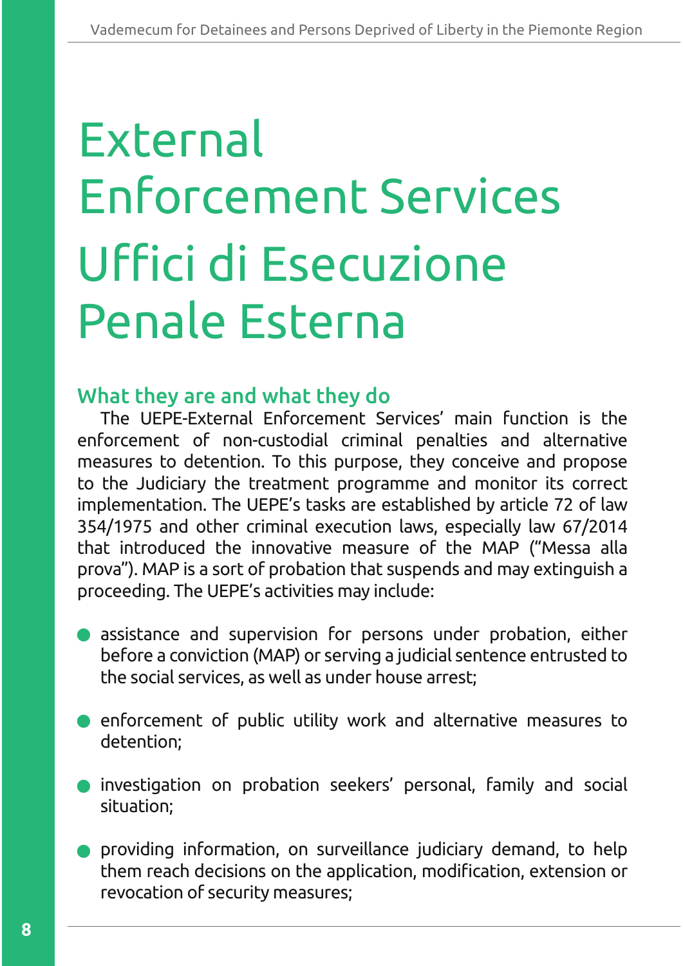# Uffici di Esecuzione Penale Esterna **External** Enforcement Services

# What they are and what they do

The UEPE-External Enforcement Services' main function is the enforcement of non-custodial criminal penalties and alternative measures to detention. To this purpose, they conceive and propose to the Judiciary the treatment programme and monitor its correct implementation. The UEPE's tasks are established by article 72 of law 354/1975 and other criminal execution laws, especially law 67/2014 that introduced the innovative measure of the MAP ("Messa alla prova"). MAP is a sort of probation that suspends and may extinguish a proceeding. The UEPE's activities may include:

- assistance and supervision for persons under probation, either before a conviction (MAP) or serving a judicial sentence entrusted to the social services, as well as under house arrest;
- enforcement of public utility work and alternative measures to detention;
- **•** investigation on probation seekers' personal, family and social situation;
- providing information, on surveillance judiciary demand, to help them reach decisions on the application, modification, extension or revocation of security measures; -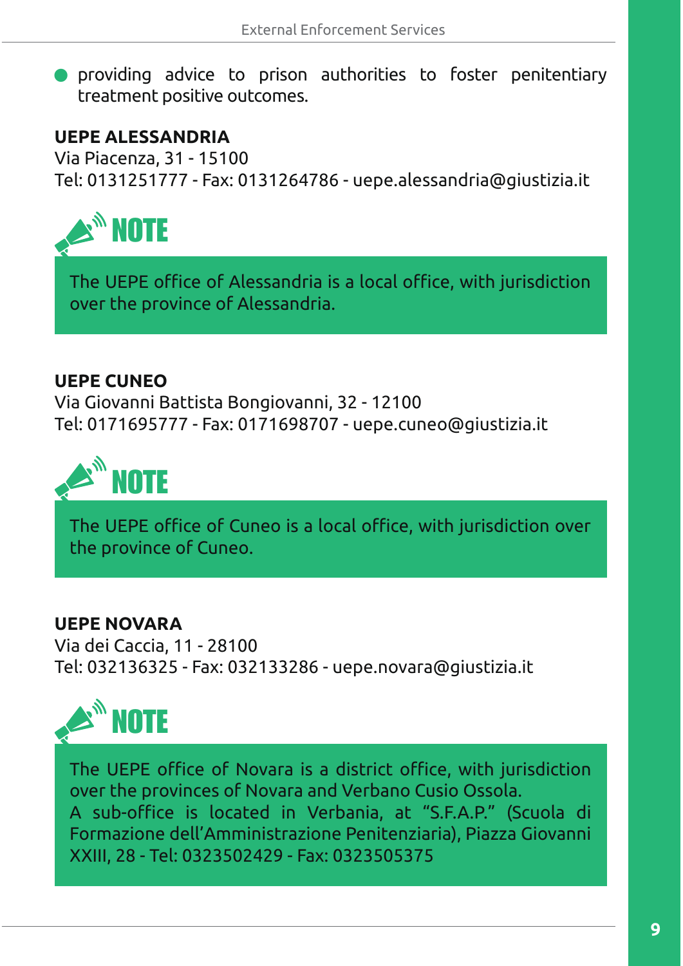- providing advice to prison authorities to foster penitentiary treatment positive outcomes.

## **UEPE ALESSANDRIA**

Via Piacenza, 31 - 15100 Tel: 0131251777 - Fax: 0131264786 - uepe.alessandria@giustizia.it



The UEPE office of Alessandria is a local office, with jurisdiction over the province of Alessandria.

## **UEPE CUNEO**

Via Giovanni Battista Bongiovanni, 32 - 12100 Tel: 0171695777 - Fax: 0171698707 - uepe.cuneo@giustizia.it



The UEPE office of Cuneo is a local office, with jurisdiction over the province of Cuneo.

## **UEPE NOVARA**

Via dei Caccia, 11 - 28100 Tel: 032136325 - Fax: 032133286 - uepe.novara@giustizia.it



The UEPE office of Novara is a district office, with jurisdiction over the provinces of Novara and Verbano Cusio Ossola. A sub-office is located in Verbania, at "S.F.A.P." (Scuola di Formazione dell'Amministrazione Penitenziaria), Piazza Giovanni XXIII, 28 - Tel: 0323502429 - Fax: 0323505375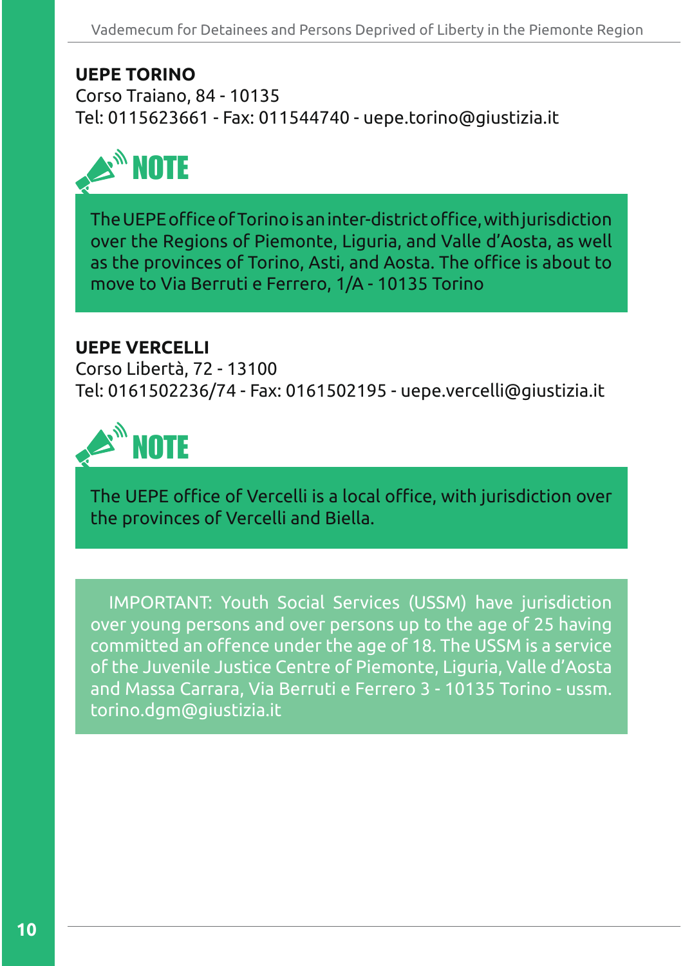## **UEPE TORINO**

Corso Traiano, 84 - 10135 Tel: 0115623661 - Fax: 011544740 - uepe.torino@giustizia.it



The UEPE office of Torino is an inter-district office, with jurisdiction over the Regions of Piemonte, Liguria, and Valle d'Aosta, as well as the provinces of Torino, Asti, and Aosta. The office is about to move to Via Berruti e Ferrero, 1/A - 10135 Torino

## **UEPE VERCELLI**

Corso Libertà, 72 - 13100 Tel: 0161502236/74 - Fax: 0161502195 - uepe.vercelli@giustizia.it



The UEPE office of Vercelli is a local office, with jurisdiction over the provinces of Vercelli and Biella.

IMPORTANT: Youth Social Services (USSM) have jurisdiction over young persons and over persons up to the age of 25 having committed an offence under the age of 18. The USSM is a service of the Juvenile Justice Centre of Piemonte, Liguria, Valle d'Aosta and Massa Carrara, Via Berruti e Ferrero 3 - 10135 Torino - ussm. torino.dgm@giustizia.it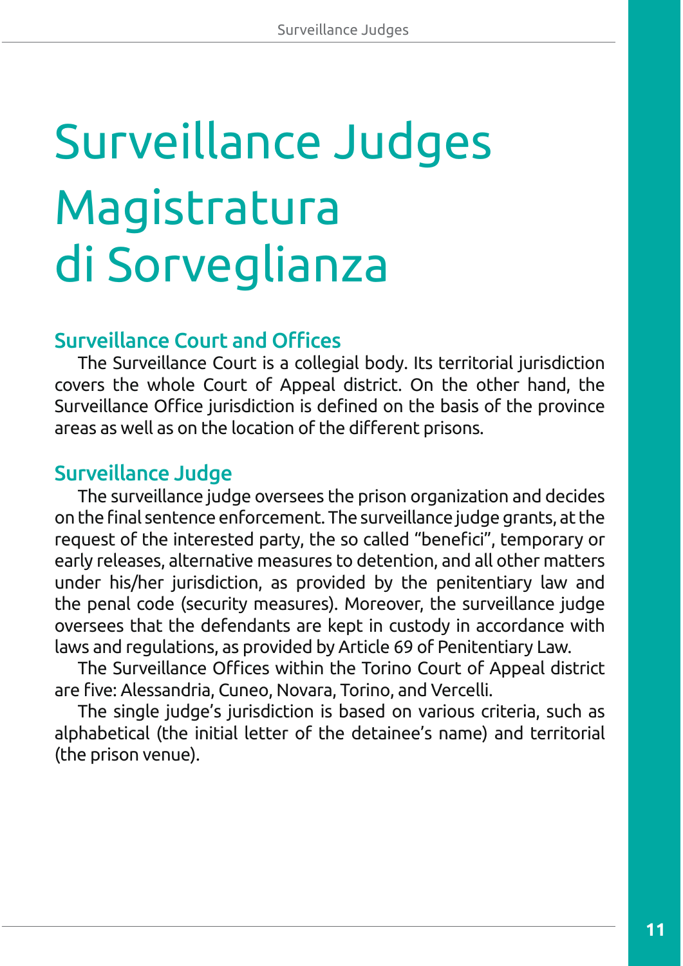# Surveillance Judges Magistratura di Sorveglianza

# **Surveillance Court and Offices**

The Surveillance Court is a collegial body. Its territorial jurisdiction covers the whole Court of Appeal district. On the other hand, the Surveillance Office jurisdiction is defined on the basis of the province areas as well as on the location of the different prisons.

# Surveillance Judge

The surveillance judge oversees the prison organization and decides on the final sentence enforcement. The surveillance judge grants, at the request of the interested party, the so called "benefici", temporary or early releases, alternative measures to detention, and all other matters under his/her jurisdiction, as provided by the penitentiary law and the penal code (security measures). Moreover, the surveillance judge oversees that the defendants are kept in custody in accordance with laws and regulations, as provided by Article 69 of Penitentiary Law.

The Surveillance Offices within the Torino Court of Appeal district are five: Alessandria, Cuneo, Novara, Torino, and Vercelli.

The single judge's jurisdiction is based on various criteria, such as alphabetical (the initial letter of the detainee's name) and territorial (the prison venue).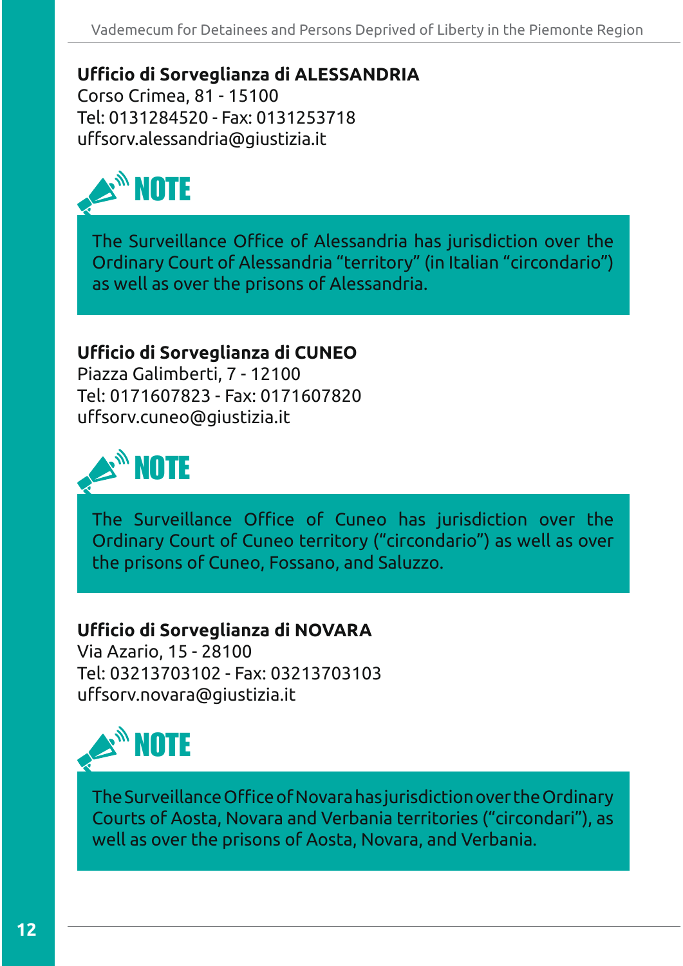**Ufficio di Sorveglianza di ALESSANDRIA** Corso Crimea, 81 - 15100 Tel: 0131284520 - Fax: 0131253718 uffsorv.alessandria@giustizia.it



The Surveillance Office of Alessandria has jurisdiction over the Ordinary Court of Alessandria "territory" (in Italian "circondario") as well as over the prisons of Alessandria.

## Ufficio di Sorveglianza di CUNEO

Piazza Galimberti, 7 - 12100 Tel: 0171607823 - Fax: 0171607820 uffsorv.cuneo@giustizia.it



The Surveillance Office of Cuneo has jurisdiction over the Ordinary Court of Cuneo territory ("circondario") as well as over the prisons of Cuneo, Fossano, and Saluzzo.

## **Ufficio di Sorveglianza di NOVARA**

Via Azario, 15 - 28100 Tel: 03213703102 - Fax: 03213703103 uffsorv.novara@giustizia.it



The Surveillance Office of Novara has jurisdiction over the Ordinary Courts of Aosta, Novara and Verbania territories ("circondari"), as well as over the prisons of Aosta, Novara, and Verbania.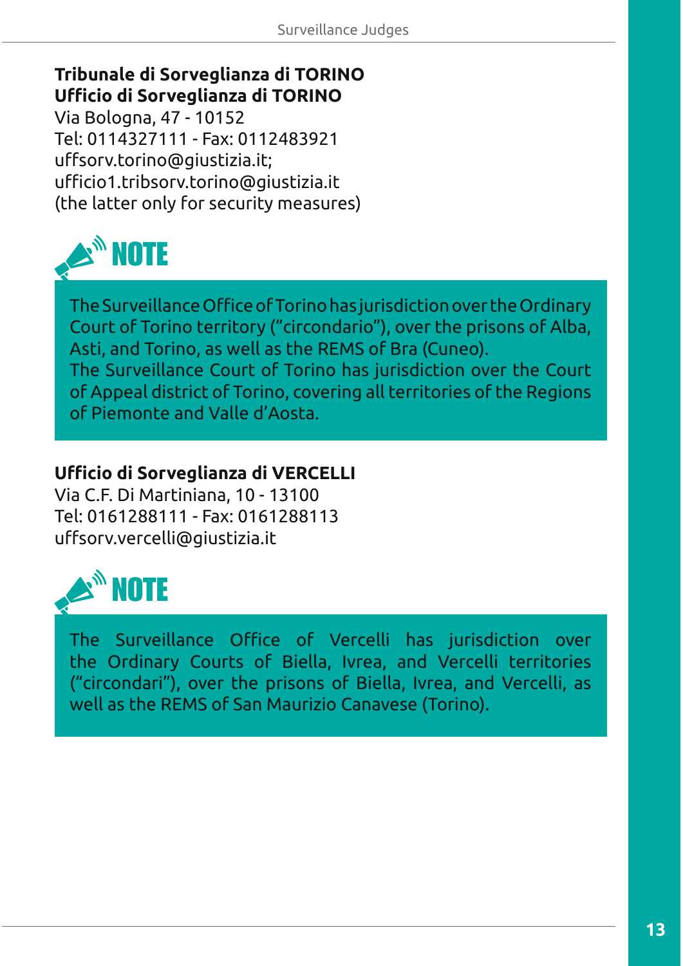# **Tribunale di Sorveglianza di TORINO**  Ufficio di Sorveglianza di TORINO

Via Bologna, 47 - 10152 Tel: 0114327111 - Fax: 0112483921 uffsorv.torino@giustizia.it; ufficio1.tribsorv.torino@giustizia.it (the latter only for security measures)



The Surveillance Office of Torino has jurisdiction over the Ordinary Court of Torino territory ("circondario"), over the prisons of Alba, Asti, and Torino, as well as the REMS of Bra (Cuneo). The Surveillance Court of Torino has jurisdiction over the Court

of Appeal district of Torino, covering all territories of the Regions of Piemonte and Valle d'Aosta.

## **Ufficio di Sorveglianza di VERCELLI**

Via C.F. Di Martiniana, 10 - 13100 Tel: 0161288111 - Fax: 0161288113 uffsorv.vercelli@giustizia.it



The Surveillance Office of Vercelli has jurisdiction over the Ordinary Courts of Biella, Ivrea, and Vercelli territories ("circondari"), over the prisons of Biella, Ivrea, and Vercelli, as well as the REMS of San Maurizio Canavese (Torino).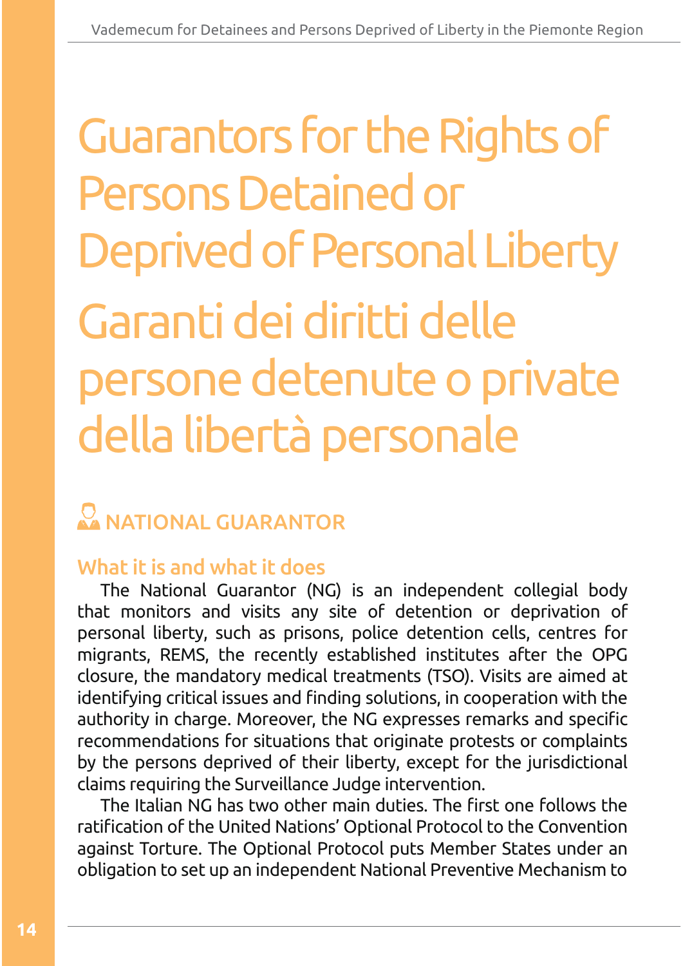# Garanti dei diritti delle persone detenute o private della libertà personale **Guarantors for the Rights of** Persons Detained or Deprived of Personal Liberty

# **NATIONAL GUARANTOR**

# What it is and what it does

The National Guarantor (NG) is an independent collegial body that monitors and visits any site of detention or deprivation of personal liberty, such as prisons, police detention cells, centres for migrants, REMS, the recently established institutes after the OPG closure, the mandatory medical treatments (TSO). Visits are aimed at identifying critical issues and finding solutions, in cooperation with the authority in charge. Moreover, the NG expresses remarks and specific recommendations for situations that originate protests or complaints by the persons deprived of their liberty, except for the jurisdictional claims requiring the Surveillance Judge intervention.

The Italian NG has two other main duties. The first one follows the ratification of the United Nations' Optional Protocol to the Convention against Torture. The Optional Protocol puts Member States under an obligation to set up an independent National Preventive Mechanism to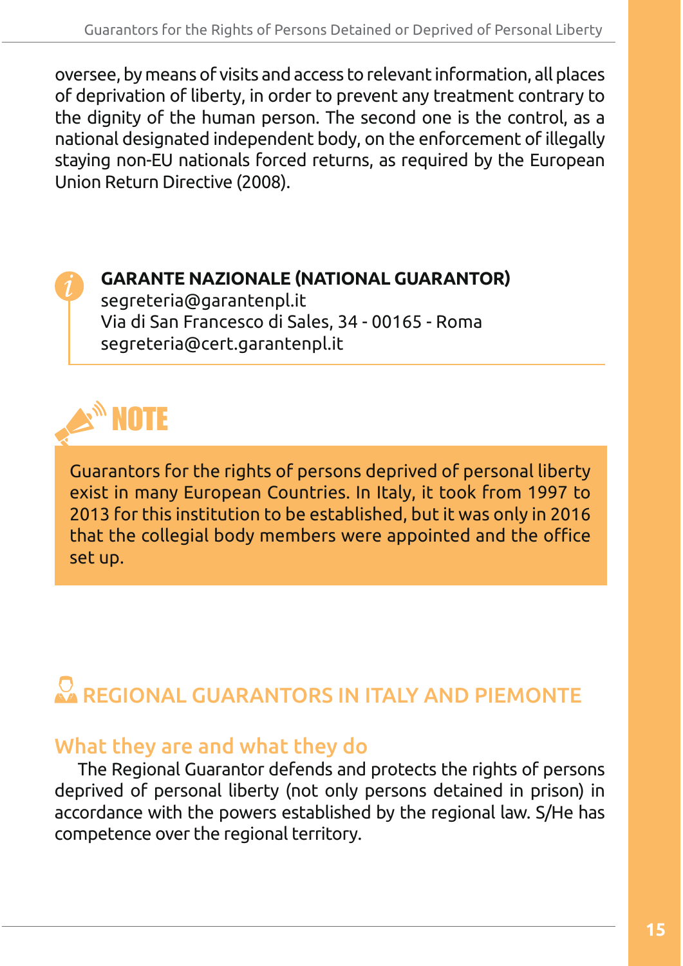oversee, by means of visits and access to relevant information, all places of deprivation of liberty, in order to prevent any treatment contrary to the dignity of the human person. The second one is the control, as a national designated independent body, on the enforcement of illegally staying non-EU nationals forced returns, as required by the European Union Return Directive (2008).



## **GARANTE NAZIONALE (NATIONAL GUARANTOR)**

segreteria@garantenpl.it Via di San Francesco di Sales, 34 - 00165 - Roma segreteria@cert.garantenpl.it



Guarantors for the rights of persons deprived of personal liberty exist in many European Countries. In Italy, it took from 1997 to 2013 for this institution to be established, but it was only in 2016 that the collegial body members were appointed and the office set up.

# REGIONAL GUARANTORS IN ITALY AND PIEMONTE

## What they are and what they do

The Regional Guarantor defends and protects the rights of persons deprived of personal liberty (not only persons detained in prison) in accordance with the powers established by the regional law. S/He has competence over the regional territory.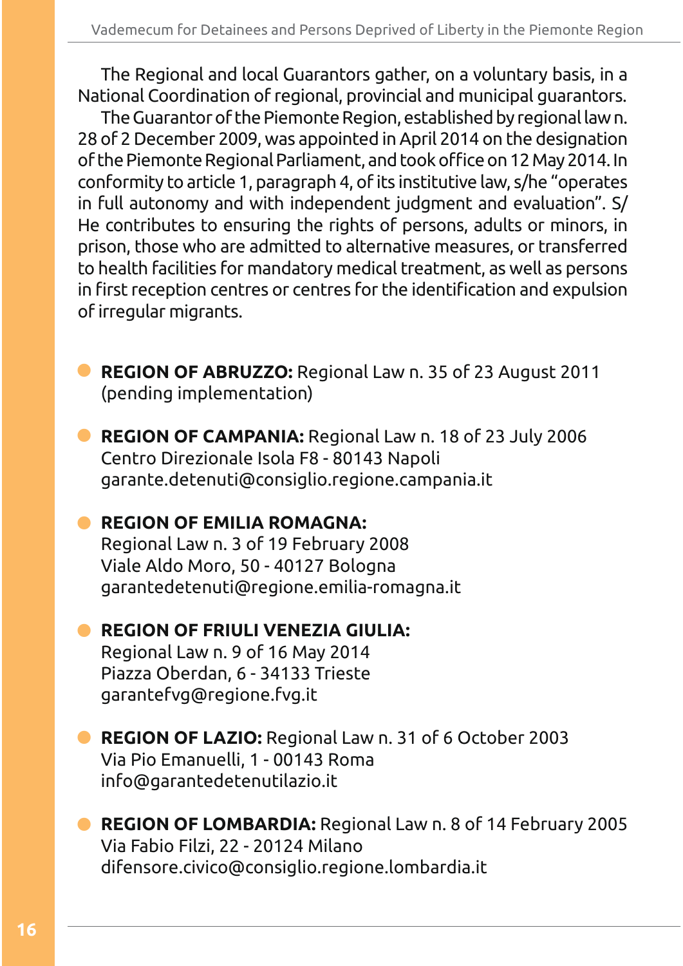The Regional and local Guarantors gather, on a voluntary basis, in a National Coordination of regional, provincial and municipal guarantors.

The Guarantor of the Piemonte Region, established by regional law n. 28 of 2 December 2009, was appointed in April 2014 on the designation of the Piemonte Regional Parliament, and took office on 12 May 2014. In conformity to article 1, paragraph 4, of its institutive law, s/he "operates in full autonomy and with independent judgment and evaluation". S/ He contributes to ensuring the rights of persons, adults or minors, in prison, those who are admitted to alternative measures, or transferred to health facilities for mandatory medical treatment, as well as persons in first reception centres or centres for the identification and expulsion of irregular migrants.

- **REGION OF ABRUZZO:** Regional Law n. 35 of 23 August 2011 (pending implementation)
- **REGION OF CAMPANIA:** Regional Law n. 18 of 23 July 2006 Centro Direzionale Isola F8 - 80143 Napoli garante.detenuti@consiglio.regione.campania.it

## **• REGION OF EMILIA ROMAGNA:**

Regional Law n. 3 of 19 February 2008 Viale Aldo Moro, 50 - 40127 Bologna garantedetenuti@regione.emilia-romagna.it

## **• REGION OF FRIULI VENEZIA GIULIA:**

Regional Law n. 9 of 16 May 2014 Piazza Oberdan, 6 - 34133 Trieste garantefvg@regione.fvg.it

## **REGION OF LAZIO:** Regional Law n. 31 of 6 October 2003 Via Pio Emanuelli, 1 - 00143 Roma info@garantedetenutilazio.it

**• REGION OF LOMBARDIA:** Regional Law n. 8 of 14 February 2005 Via Fabio Filzi, 22 - 20124 Milano difensore.civico@consiglio.regione.lombardia.it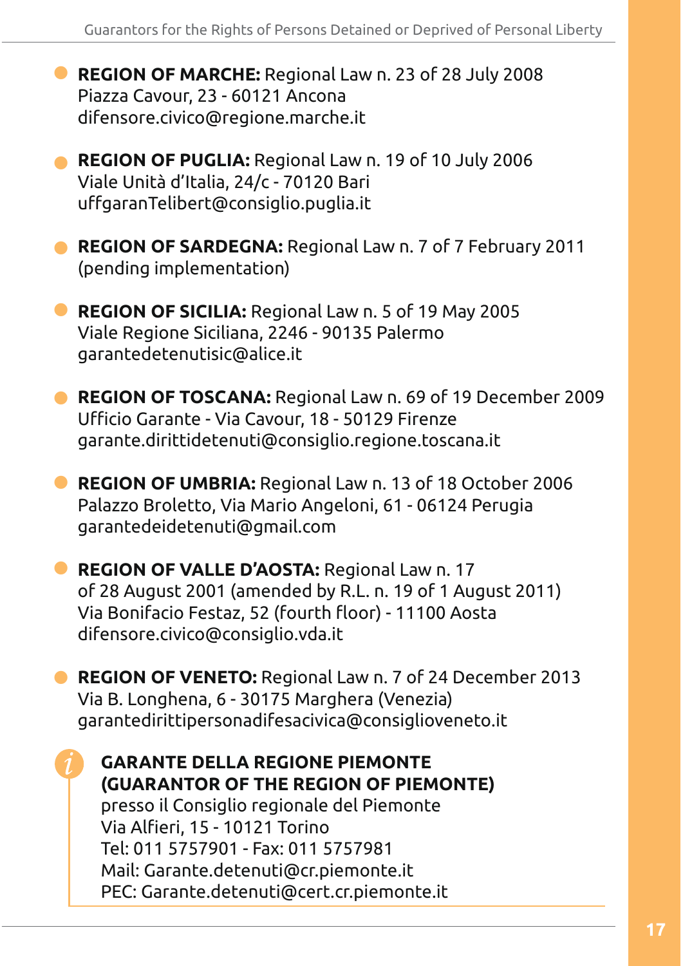- **REGION OF MARCHE:** Regional Law n. 23 of 28 July 2008 Piazza Cavour, 23 - 60121 Ancona difensore.civico@regione.marche.it
- **REGION OF PUGLIA:** Regional Law n. 19 of 10 July 2006 Viale Unità d'Italia, 24/c - 70120 Bari uffgaran Telibert@consiglio.puglia.it
- **REGION OF SARDEGNA:** Regional Law n. 7 of 7 February 2011 (pending implementation)
- **REGION OF SICILIA:** Regional Law n. 5 of 19 May 2005 Viale Regione Siciliana, 2246 - 90135 Palermo garantedetenutisic@alice.it
- **REGION OF TOSCANA:** Regional Law n. 69 of 19 December 2009 Ufficio Garante - Via Cavour, 18 - 50129 Firenze garante.dirittidetenuti@consiglio.regione.toscana.it
- **REGION OF UMBRIA:** Regional Law n. 13 of 18 October 2006 Palazzo Broletto, Via Mario Angeloni, 61 - 06124 Perugia garantedeidetenuti@gmail.com
- **REGION OF VALLE D'AOSTA:** Regional Law n. 17 of 28 August 2001 (amended by R.L. n. 19 of 1 August 2011) Via Bonifacio Festaz, 52 (fourth floor) - 11100 Aosta difensore.civico@consiglio.vda.it

**• REGION OF VENETO:** Regional Law n. 7 of 24 December 2013 Via B. Longhena, 6 - 30175 Marghera (Venezia) garantedirittipersonadifesacivica@consiglioveneto.it

**GARANTE DELLA REGIONE PIEMONTE (GUARANTOR OF THE REGION OF PIEMONTE)** presso il Consiglio regionale del Piemonte Via Alfieri, 15 - 10121 Torino Tel: 011 5757901 - Fax: 011 5757981 Mail: Garante.detenuti@cr.piemonte.it PEC: Garante.detenuti@cert.cr.piemonte.it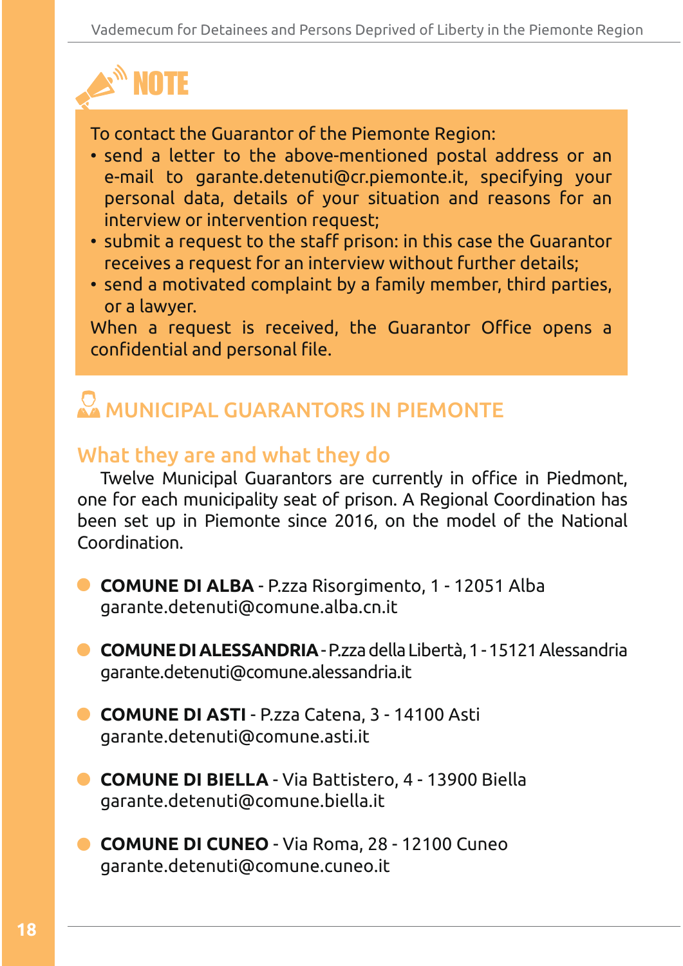

To contact the Guarantor of the Piemonte Region:

- send a letter to the above-mentioned postal address or an e-mail to garante.detenuti@cr.piemonte.it, specifying your personal data, details of your situation and reasons for an interview or intervention request;
- submit a request to the staff prison: in this case the Guarantor receives a request for an interview without further details;
- send a motivated complaint by a family member, third parties, or a lawyer.

When a request is received, the Guarantor Office opens a confidential and personal file.

# MUNICIPAL GUARANTORS IN PIEMONTE

# What they are and what they do

Twelve Municipal Guarantors are currently in office in Piedmont, one for each municipality seat of prison. A Regional Coordination has been set up in Piemonte since 2016, on the model of the National Coordination.

- **COMUNE DI ALBA** P.zza Risorgimento, 1 12051 Alba garante.detenuti@comune.alba.cn.it
- **COMUNE DI ALESSANDRIA** P.zza della Libertà, 1 15121 Alessandria garante.detenuti@comune.alessandria.it
- **COMUNE DI ASTI** P.zza Catena, 3 14100 Asti garante.detenuti@comune.asti.it
- **COMUNE DI BIELLA** Via Battistero, 4 13900 Biella garante.detenuti@comune.biella.it
- **COMUNE DI CUNEO** Via Roma, 28 12100 Cuneo garante.detenuti@comune.cuneo.it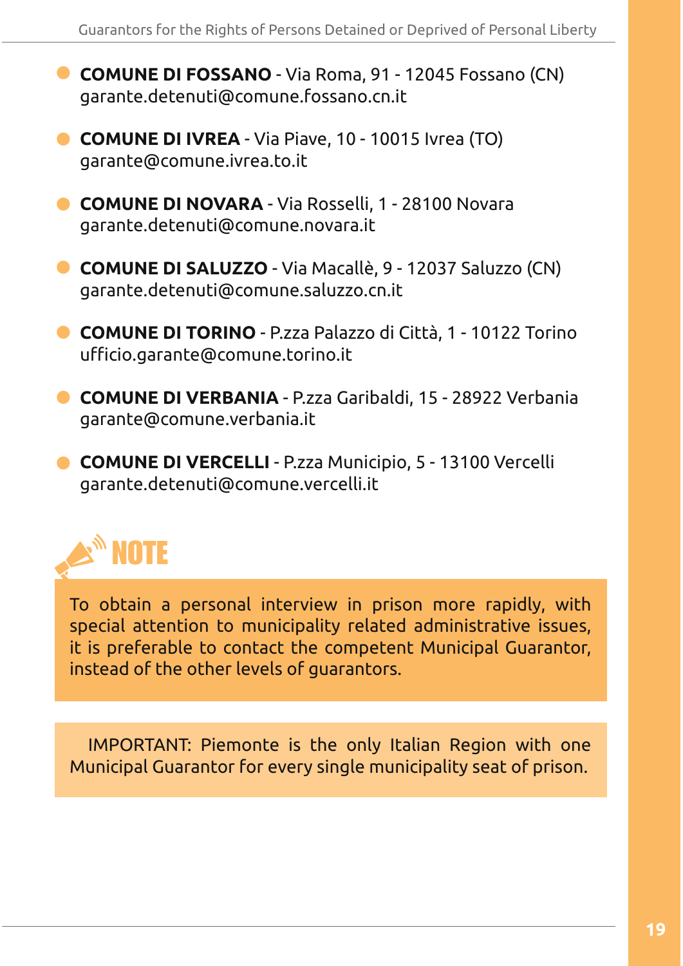- **COMUNE DI FOSSANO** Via Roma, 91 12045 Fossano (CN) garante.detenuti@comune.fossano.cn.it
- **COMUNE DI IVREA** Via Piave, 10 10015 Ivrea (TO) garante@comune.ivrea.to.it
- **COMUNE DI NOVARA** Via Rosselli, 1 28100 Novara garante.detenuti@comune.novara.it
- **COMUNE DI SALUZZO** Via Macallè, 9 12037 Saluzzo (CN) garante.detenuti@comune.saluzzo.cn.it
- **COMUNE DI TORINO** P.zza Palazzo di Città, 1 10122 Torino ufficio.garante@comune.torino.it
- **COMUNE DI VERBANIA** P.zza Garibaldi, 15 28922 Verbania garante@comune.verbania.it
- **COMUNE DI VERCELLI** P.zza Municipio, 5 13100 Vercelli garante.detenuti@comune.vercelli.it



To obtain a personal interview in prison more rapidly, with special attention to municipality related administrative issues, it is preferable to contact the competent Municipal Guarantor, instead of the other levels of guarantors.

IMPORTANT: Piemonte is the only Italian Region with one Municipal Guarantor for every single municipality seat of prison.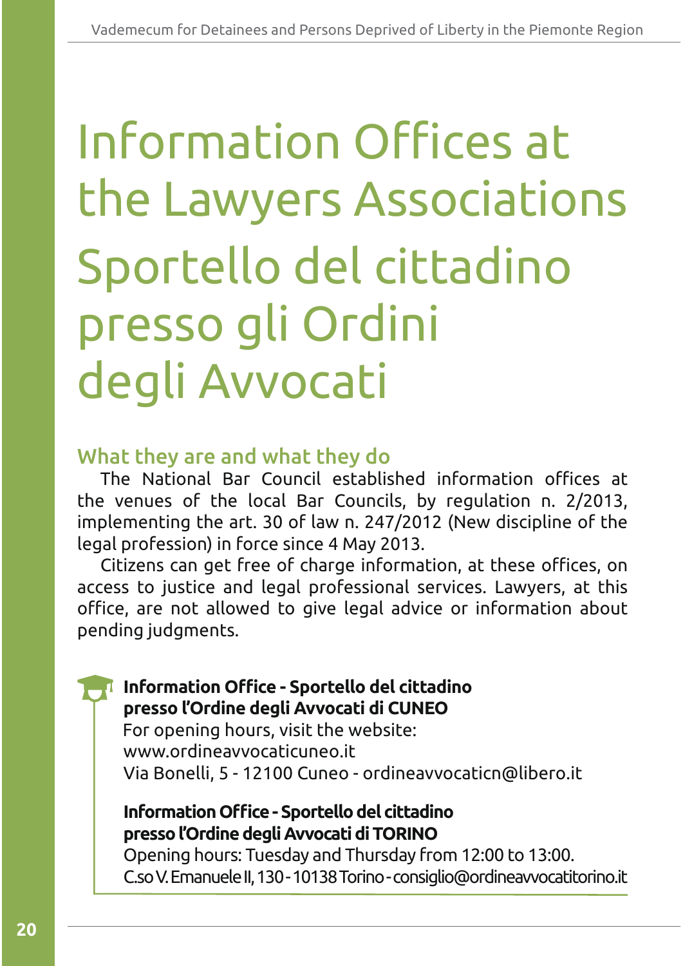# Sportello del cittadino presso gli Ordini degli Avvocati Information Offices at the Lawyers Associations

## What they are and what they do

The National Bar Council established information offices at the venues of the local Bar Councils, by regulation n. 2/2013, implementing the art. 30 of law n. 247/2012 (New discipline of the legal profession) in force since 4 May 2013.

Citizens can get free of charge information, at these offices, on access to justice and legal professional services. Lawyers, at this office, are not allowed to give legal advice or information about pending judgments.

## Information Office - Sportello del cittadino **presso l'Ordine degli Avvocati di CUNEO**

 $\parallel$  For opening hours, visit the website: www.ordineavvocaticuneo.it Via Bonelli, 5 - 12100 Cuneo - ordineavvocaticn@libero.it

## **Information Office - Sportello del cittadino presso l'Ordine degli Avvocati di TORINO**

Opening hours: Tuesday and Thursday from 12:00 to 13:00. C.so V. Emanuele II, 130 - 10138 Torino - consiglio@ordineavvocatitorino.it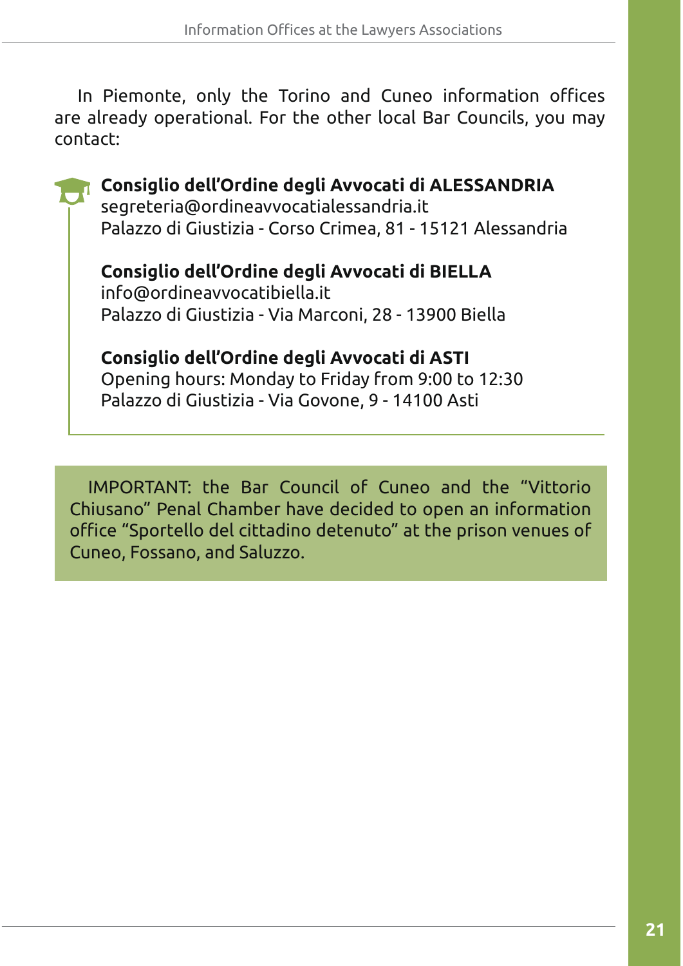In Piemonte, only the Torino and Cuneo information offices are already operational. For the other local Bar Councils, you may contact:

**Consiglio dell'Ordine degli Avvocati di ALESSANDRIA**  segreteria@ordineavvocatialessandria.it Palazzo di Giustizia - Corso Crimea, 81 - 15121 Alessandria **Consiglio dell'Ordine degli Avvocati di BIELLA**

info@ordineavvocatibiella.it Palazzo di Giustizia - Via Marconi, 28 - 13900 Biella

**Consiglio dell'Ordine degli Avvocati di ASTI**  Opening hours: Monday to Friday from 9:00 to 12:30 Palazzo di Giustizia - Via Govone, 9 - 14100 Asti

IMPORTANT: the Bar Council of Cuneo and the "Vittorio Chiusano" Penal Chamber have decided to open an information office "Sportello del cittadino detenuto" at the prison venues of Cuneo, Fossano, and Saluzzo.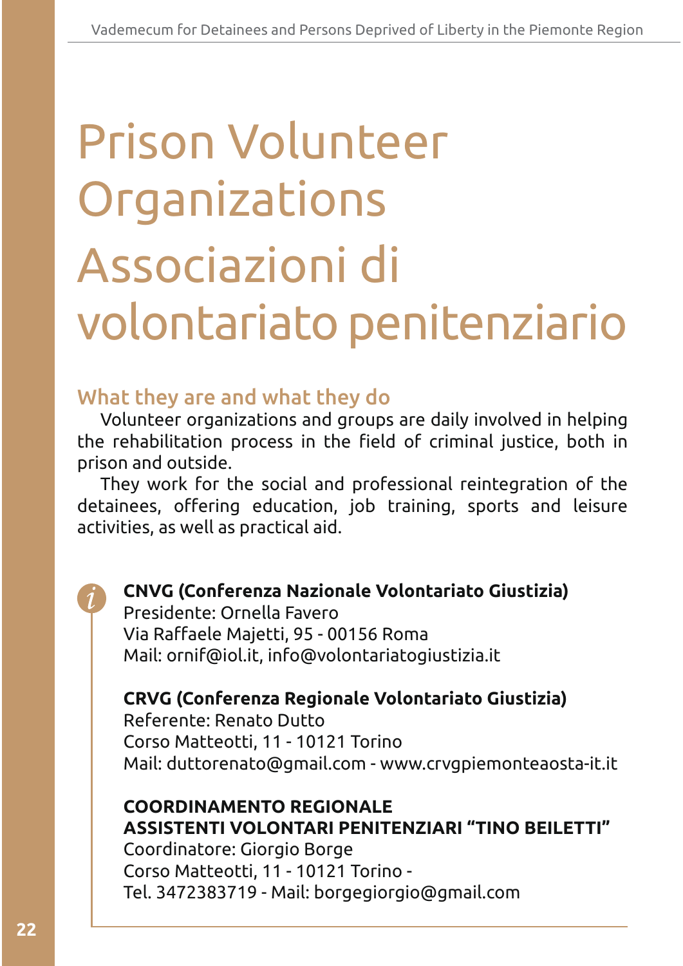# Associazioni di volontariato penitenziario Prison Volunteer Organizations

# What they are and what they do

Volunteer organizations and groups are daily involved in helping the rehabilitation process in the field of criminal justice, both in prison and outside.

They work for the social and professional reintegration of the detainees, offering education, job training, sports and leisure activities, as well as practical aid.

## **CNVG (Conferenza Nazionale Volontariato Giustizia)**

Presidente: Ornella Favero Via Raffaele Majetti, 95 - 00156 Roma Mail: ornif@iol.it, info@volontariatogiustizia.it

## **CRVG (Conferenza Regionale Volontariato Giustizia)**

Referente: Renato Dutto Corso Matteotti, 11 - 10121 Torino Mail: duttorenato@gmail.com - www.crvgpiemonteaosta-it.it

## **COORDINAMENTO REGIONALE ASSISTENTI VOLONTARI PENITENZIARI "TINO BEILETTI"**

Coordinatore: Giorgio Borge Corso Matteotti, 11 - 10121 Torino -Tel. 3472383719 - Mail: borgegiorgio@gmail.com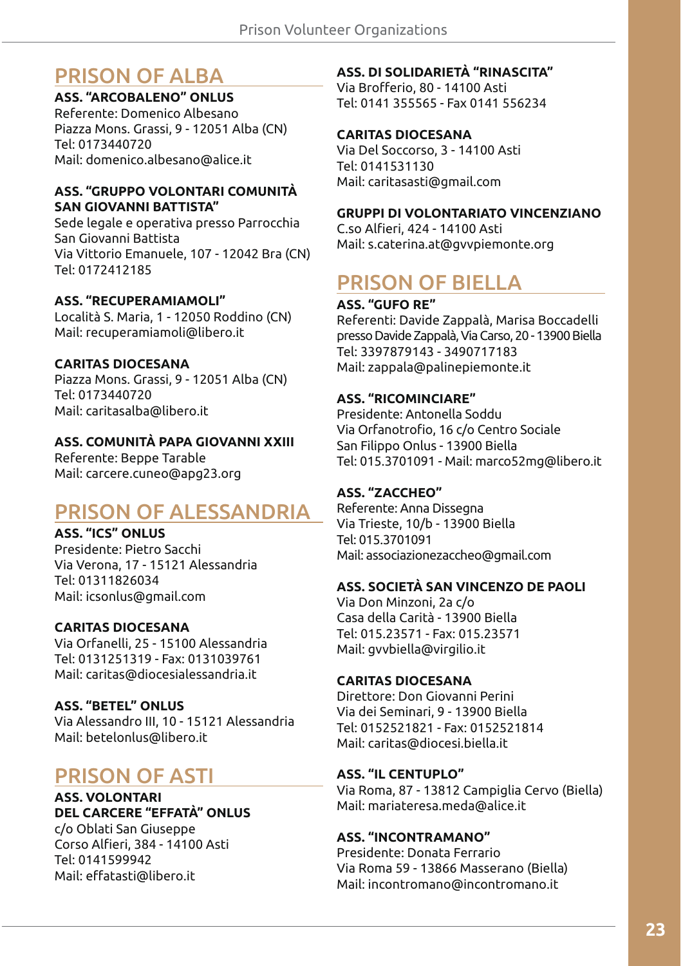# PRISON OF ALBA

## **ASS. "ARCOBALENO" ONLUS**

Referente: Domenico Albesano Piazza Mons. Grassi, 9 - 12051 Alba (CN) Tel: 0173440720 Mail: domenico.albesano@alice.it

#### **ASS. "GRUPPO VOLONTARI COMUNITÀ SAN GIOVANNI BATTISTA"**

Sede legale e operativa presso Parrocchia San Giovanni Battista Via Vittorio Emanuele, 107 - 12042 Bra (CN) Tel: 0172412185

#### **ASS. "RECUPERAMIAMOLI"**

Località S. Maria, 1 - 12050 Roddino (CN) Mail: recuperamiamoli@libero.it

#### **CARITAS DIOCESANA**

Piazza Mons. Grassi, 9 - 12051 Alba (CN) Tel: 0173440720 Mail: caritasalba@libero.it

#### **ASS. COMUNITÀ PAPA GIOVANNI XXIII**

Referente: Beppe Tarable Mail: carcere.cuneo@apg23.org

# PRISON OF ALESSANDRIA

#### **ASS. "ICS" ONLUS**

Presidente: Pietro Sacchi Via Verona, 17 - 15121 Alessandria Tel: 01311826034 Mail: icsonlus@gmail.com

#### **CARITAS DIOCESANA**

Via Orfanelli, 25 - 15100 Alessandria Tel: 0131251319 - Fax: 0131039761 Mail: caritas@diocesialessandria.it

#### **ASS. "BETEL" ONLUS**

Via Alessandro III, 10 - 15121 Alessandria Mail: betelonlus@libero.it

# PRISON OF ASTI

#### **ASS. VOLONTARI DEL CARCERE "EFFATÀ" ONLUS**

c/o Oblati San Giuseppe Corso Alfieri, 384 - 14100 Asti Tel: 0141599942 Mail: effatasti@libero.it

#### **ASS. DI SOLIDARIETÀ "RINASCITA"**

Via Brofferio, 80 - 14100 Asti Tel: 0141 355565 - Fax 0141 556234

#### **CARITAS DIOCESANA**

Via Del Soccorso, 3 - 14100 Asti Tel: 0141531130 Mail: caritasasti@gmail.com

#### **GRUPPI DI VOLONTARIATO VINCENZIANO**

C.so Alfieri, 424 - 14100 Asti Mail: s.caterina.at@gvvpiemonte.org

# PRISON OF BIELLA

#### **ASS. "GUFO RE"**

Referenti: Davide Zappalà, Marisa Boccadelli presso Davide Zappalà, Via Carso, 20 - 13900 Biella Tel: 3397879143 - 3490717183 Mail: zappala@palinepiemonte.it

#### **ASS. "RICOMINCIARE"**

Presidente: Antonella Soddu Via Orfanotrofio, 16 c/o Centro Sociale San Filippo Onlus - 13900 Biella Tel: 015.3701091 - Mail: marco52mg@libero.it

#### **ASS. "ZACCHEO"**

Referente: Anna Dissegna Via Trieste, 10/b - 13900 Biella Tel: 015.3701091 Mail: associazionezaccheo@gmail.com

#### **ASS. SOCIETÀ SAN VINCENZO DE PAOLI**

Via Don Minzoni, 2a c/o Casa della Carità - 13900 Biella Tel: 015.23571 - Fax: 015.23571 Mail: gvvbiella@virgilio.it

#### **CARITAS DIOCESANA**

Direttore: Don Giovanni Perini Via dei Seminari, 9 - 13900 Biella Tel: 0152521821 - Fax: 0152521814 Mail: caritas@diocesi.biella.it

#### **ASS. "IL CENTUPLO"**

Via Roma, 87 - 13812 Campiglia Cervo (Biella) Mail: mariateresa.meda@alice.it

#### **ASS. "INCONTRAMANO"**

Presidente: Donata Ferrario Via Roma 59 - 13866 Masserano (Biella) Mail: incontromano@incontromano.it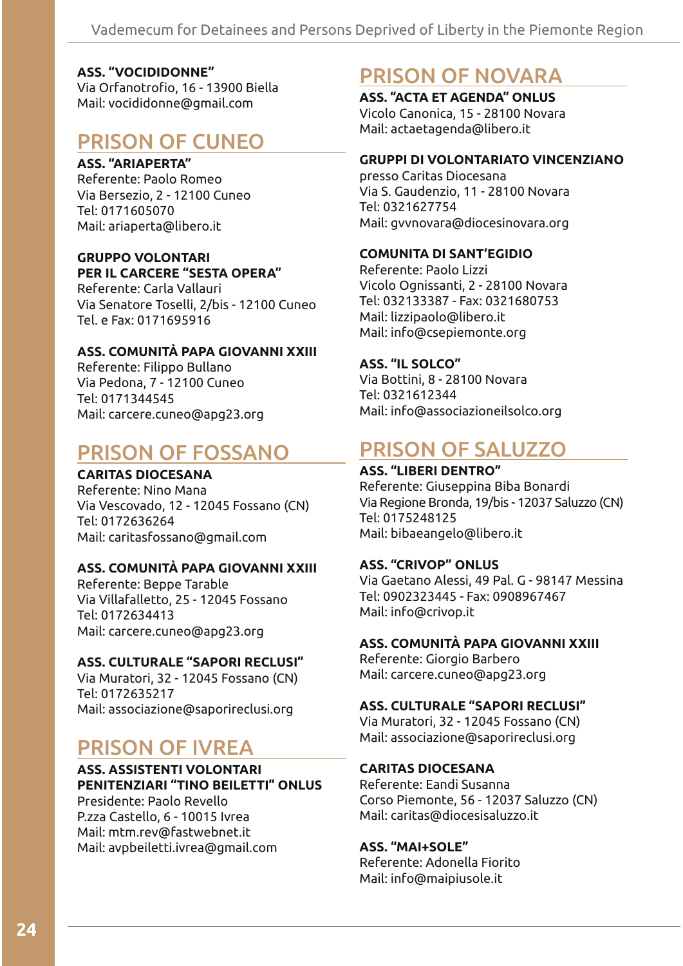#### **ASS. "VOCIDIDONNE"**

Via Orfanotrofio, 16 - 13900 Biella Mail: vocididonne@gmail.com

## PRISON OF CUNEO

#### **ASS. "ARIAPERTA"**

Referente: Paolo Romeo Via Bersezio, 2 - 12100 Cuneo  $TeI: 0171605070$ Mail: ariaperta@libero.it

#### **GRUPPO VOLONTARI PER IL CARCERE "SESTA OPERA"**

Referente: Carla Vallauri Via Senatore Toselli, 2/bis - 12100 Cuneo Tel. e Fax: 0171695916

#### **ASS. COMUNITÀ PAPA GIOVANNI XXIII**

Referente: Filippo Bullano Via Pedona, 7 - 12100 Cuneo Tel: 0171344545 Mail: carcere.cuneo@apg23.org

# PRISON OF FOSSANO

#### **CARITAS DIOCESANA**

Referente: Nino Mana Via Vescovado, 12 - 12045 Fossano (CN) Tel: 0172636264 Mail: caritasfossano@gmail.com

#### **ASS. COMUNITÀ PAPA GIOVANNI XXIII**

Referente: Beppe Tarable Via Villafalletto, 25 - 12045 Fossano Tel: 0172634413 Mail: carcere.cuneo@apg23.org

#### **ASS. CULTURALE "SAPORI RECLUSI"**

Via Muratori, 32 - 12045 Fossano (CN) Tel: 0172635217 Mail: associazione@saporireclusi.org

## PRISON OF IVREA

#### **ASS. ASSISTENTI VOLONTARI PENITENZIARI "TINO BEILETTI" ONLUS** Presidente: Paolo Revello

P.zza Castello, 6 - 10015 Ivrea Mail: mtm.rev@fastwebnet.it Mail: avpbeiletti.ivrea@gmail.com

# PRISON OF NOVARA

**ASS. "ACTA ET AGENDA" ONLUS** Vicolo Canonica, 15 - 28100 Novara Mail: actaetagenda@libero.it

#### **GRUPPI DI VOLONTARIATO VINCENZIANO**

presso Caritas Diocesana Via S. Gaudenzio, 11 - 28100 Novara Tel: 0321627754 Mail: gvvnovara@diocesinovara.org

#### **COMUNITA DI SANT'EGIDIO**

Referente: Paolo Lizzi Vicolo Ognissanti, 2 - 28100 Novara Tel: 032133387 - Fax: 0321680753 Mail: lizzipaolo@libero.it Mail: info@csepiemonte.org

#### **ASS. "IL SOLCO"**

Via Bottini, 8 - 28100 Novara Tel: 0321612344 Mail: info@associazioneilsolco.org

# PRISON OF SALUZZO

#### **ASS. "LIBERI DENTRO"**

Referente: Giuseppina Biba Bonardi Via Regione Bronda, 19/bis - 12037 Saluzzo (CN) Tel: 0175248125 Mail: bibaeangelo@libero.it

#### **ASS. "CRIVOP" ONLUS**

Via Gaetano Alessi, 49 Pal. G - 98147 Messina Tel: 0902323445 - Fax: 0908967467 Mail: info@crivop.it

#### **ASS. COMUNITÀ PAPA GIOVANNI XXIII**

Referente: Giorgio Barbero Mail: carcere.cuneo@apg23.org

#### **ASS. CULTURALE "SAPORI RECLUSI"**

Via Muratori, 32 - 12045 Fossano (CN) Mail: associazione@saporireclusi.org

#### **CARITAS DIOCESANA**

Referente: Eandi Susanna Corso Piemonte, 56 - 12037 Saluzzo (CN) Mail: caritas@diocesisaluzzo.it

#### **ASS. "MAI+SOLE"**

Referente: Adonella Fiorito Mail: info@maipiusole.it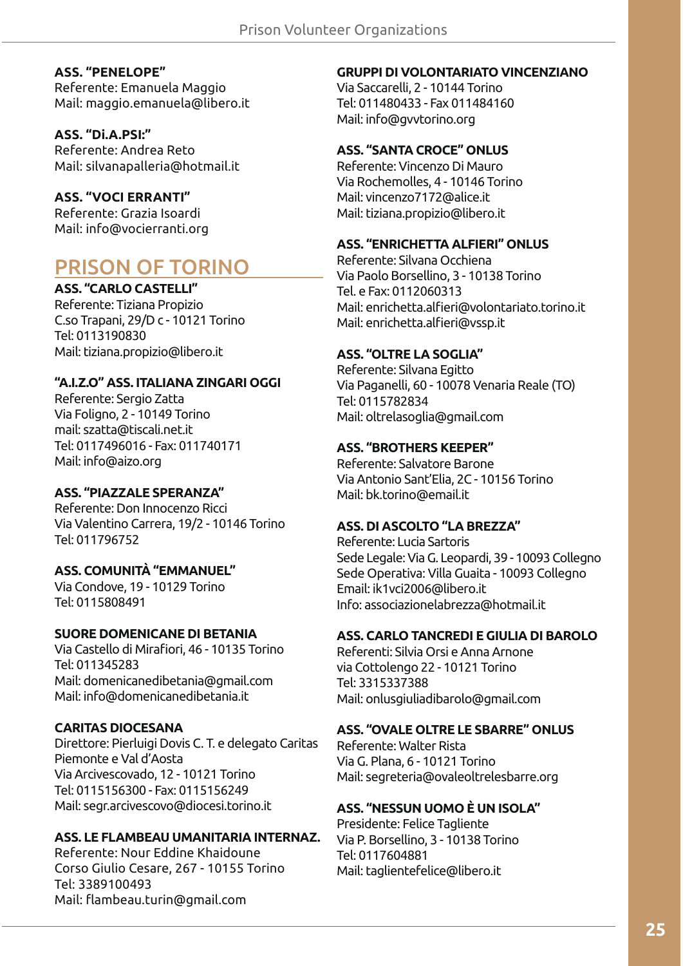#### **ASS. "PENELOPE"**

Referente: Emanuela Maggio Mail: maggio.emanuela@libero.it

**ASS. "Di.A.PSI:"** Referente: Andrea Reto Mail: silvanapalleria@hotmail.it

#### **ASS. "VOCI ERRANTI"**

Referente: Grazia Isoardi Mail: info@vocierranti.org

# PRISON OF TORINO

**ASS. "CARLO CASTELLI"**

Referente: Tiziana Propizio C.so Trapani, 29/D c - 10121 Torino Tel: 0113190830 Mail: tiziana.propizio@libero.it

#### **"A.I.Z.O" ASS. ITALIANA ZINGARI OGGI**

Referente: Sergio Zatta Via Foligno, 2 - 10149 Torino mail: szatta@tiscali.net.it Tel: 0117496016 - Fax: 011740171 Mail: info@aizo.org

#### **ASS. "PIAZZALE SPERANZA"**

Referente: Don Innocenzo Ricci Via Valentino Carrera, 19/2 - 10146 Torino Tel: 011796752

#### **ASS. COMUNITÀ "EMMANUEL"**

Via Condove, 19 - 10129 Torino Tel: 0115808491

#### **SUORE DOMENICANE DI BETANIA**

Via Castello di Mirafiori, 46 - 10135 Torino Tel: 011345283 Mail: domenicanedibetania@gmail.com Mail: info@domenicanedibetania.it

#### **CARITAS DIOCESANA**

Direttore: Pierluigi Dovis C. T. e delegato Caritas Piemonte e Val d'Aosta Via Arcivescovado, 12 - 10121 Torino Tel: 0115156300 - Fax: 0115156249 Mail: segr.arcivescovo@diocesi.torino.it

#### **ASS. LE FLAMBEAU UMANITARIA INTERNAZ.**

Referente: Nour Eddine Khaidoune Corso Giulio Cesare, 267 - 10155 Torino Tel: 3389100493 Mail: flambeau.turin@gmail.com

#### **GRUPPI DI VOLONTARIATO VINCENZIANO**

Via Saccarelli, 2 - 10144 Torino Tel: 011480433 - Fax 011484160 Mail: info@gvvtorino.org

#### **ASS. "SANTA CROCE" ONLUS**

Referente: Vincenzo Di Mauro Via Rochemolles, 4 - 10146 Torino Mail: vincenzo7172@alice.it Mail: tiziana.propizio@libero.it

#### **ASS. "ENRICHETTA ALFIERI" ONLUS**

Referente: Silvana Occhiena Via Paolo Borsellino, 3 - 10138 Torino Tel. e Fax: 0112060313 Mail: enrichetta.alfieri@volontariato.torino.it Mail: enrichetta.alfieri@vssp.it

#### **ASS. "OLTRE LA SOGLIA"**

Referente: Silvana Egitto Via Paganelli, 60 - 10078 Venaria Reale (TO) Tel: 0115782834 Mail: oltrelasoglia@gmail.com

#### **ASS. "BROTHERS KEEPER"**

Referente: Salvatore Barone Via Antonio Sant'Elia, 2C - 10156 Torino Mail: bk.torino@email.it

#### **ASS. DI ASCOLTO "LA BREZZA"**

Referente: Lucia Sartoris Sede Legale: Via G. Leopardi, 39 - 10093 Collegno Sede Operativa: Villa Guaita - 10093 Collegno Email: ik1 vci 2006@libero.it Info: associazionelabrezza@hotmail.it

#### **ASS. CARLO TANCREDI E GIULIA DI BAROLO**

Referenti: Silvia Orsi e Anna Arnone via Cottolengo 22 - 10121 Torino Tel: 3315337388 Mail: onlusgiuliadibarolo@gmail.com

#### **ASS. "OVALE OLTRE LE SBARRE" ONLUS**

Referente: Walter Rista Via G. Plana, 6 - 10121 Torino Mail: segreteria@ovaleoltrelesbarre.org

#### **ASS. "NESSUN UOMO È UN ISOLA"**

Presidente: Felice Tagliente Via P. Borsellino, 3 - 10138 Torino Tel: 0117604881 Mail: taglientefelice@libero.it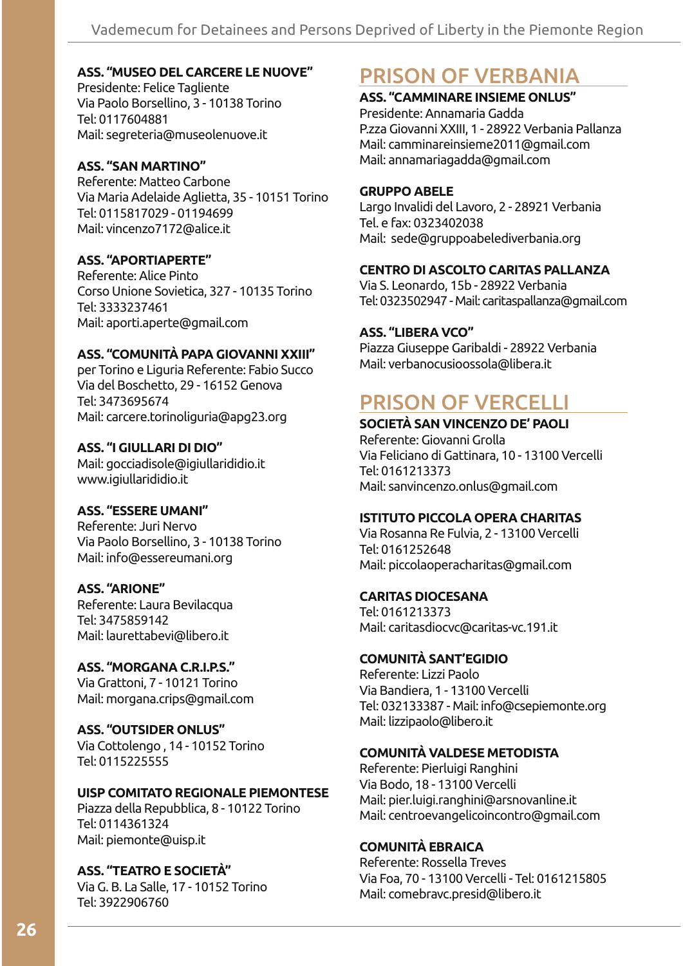#### **ASS. "MUSEO DEL CARCERE LE NUOVE"**

Presidente: Felice Tagliente Via Paolo Borsellino, 3 - 10138 Torino Tel: 0117604881 Mail: segreteria@museolenuove.it

#### **ASS. "SAN MARTINO"**

Referente: Matteo Carbone Via Maria Adelaide Aglietta, 35 - 10151 Torino Tel: 0115817029 - 01194699 Mail: vincenzo7172@alice.it

#### **ASS. "APORTIAPERTE"**

Referente: Alice Pinto Corso Unione Sovietica, 327 - 10135 Torino Tel: 3333237461 Mail: aporti.aperte@gmail.com

#### **ASS. "COMUNITÀ PAPA GIOVANNI XXIII"**

per Torino e Liguria Referente: Fabio Succo Via del Boschetto, 29 - 16152 Genova Tel: 3473695674 Mail: carcere.torinoliguria@apg23.org

#### **ASS. "I GIULLARI DI DIO"**

Mail: gocciadisole@igiullarididio.it www.igiullarididio.it

#### **ASS. "ESSERE UMANI"**

Referente: Juri Nervo Via Paolo Borsellino, 3 - 10138 Torino Mail: info@essereumani.org

#### **ASS. "ARIONE"**

Referente: Laura Bevilacqua Tel: 3475859142 Mail: laurettabevi@libero.it

### **ASS. "MORGANA C.R.I.P.S."** Via Grattoni, 7 - 10121 Torino

Mail: morgana.crips@gmail.com

#### **ASS. "OUTSIDER ONLUS"**

Via Cottolengo, 14 - 10152 Torino Tel: 0115225555

#### **UISP COMITATO REGIONALE PIEMONTESE**

Piazza della Repubblica, 8 - 10122 Torino Tel: 0114361324 Mail: piemonte@uisp.it

#### **ASS. "TEATRO E SOCIETÀ"**

Via G. B. La Salle, 17 - 10152 Torino Tel: 3922906760

# PRISON OF VERBANIA

## **ASS. "CAMMINARE INSIEME ONLUS"**

Presidente: Annamaria Gadda P.zza Giovanni XXIII, 1 - 28922 Verbania Pallanza Mail: camminareinsieme2011@gmail.com Mail: annamariagadda@gmail.com

#### **GRUPPO ABELE**

Largo Invalidi del Lavoro, 2 - 28921 Verbania Tel. e fax: 0323402038 Mail: sede@gruppoabelediverbania.org

#### **CENTRO DI ASCOLTO CARITAS PALLANZA**

Via S. Leonardo, 15b - 28922 Verbania Tel: 0323502947 - Mail: caritaspallanza@gmail.com

#### **ASS. "LIBERA VCO"**

Piazza Giuseppe Garibaldi - 28922 Verbania Mail: verbanocusioossola@libera.it

## PRISON OF VERCELLI

#### **SOCIETÀ SAN VINCENZO DE' PAOLI**

Referente: Giovanni Grolla Via Feliciano di Gattinara, 10 - 13100 Vercelli Tel: 0161213373 Mail: sanvincenzo.onlus@gmail.com

#### **ISTITUTO PICCOLA OPERA CHARITAS**

Via Rosanna Re Fulvia, 2 - 13100 Vercelli Tel: 0161252648 Mail: piccolaoperacharitas@gmail.com

#### **CARITAS DIOCESANA**

Tel: 0161213373 Mail: caritasdiocvc@caritas-vc.191.it

#### **COMUNITÀ SANT'EGIDIO**

Referente: Lizzi Paolo Via Bandiera, 1 - 13100 Vercelli Tel: 032133387 - Mail: info@csepiemonte.org Mail: lizzipaolo@libero.it

#### **COMUNITÀ VALDESE METODISTA**

Referente: Pierluigi Ranghini Via Bodo, 18 - 13100 Vercelli Mail: pier.luigi.ranghini@arsnovanline.it Mail: centroevangelicoincontro@gmail.com

#### **COMUNITÀ EBRAICA**

Referente: Rossella Treves Via Foa, 70 - 13100 Vercelli - Tel: 0161215805 Mail: comebravc.presid@libero.it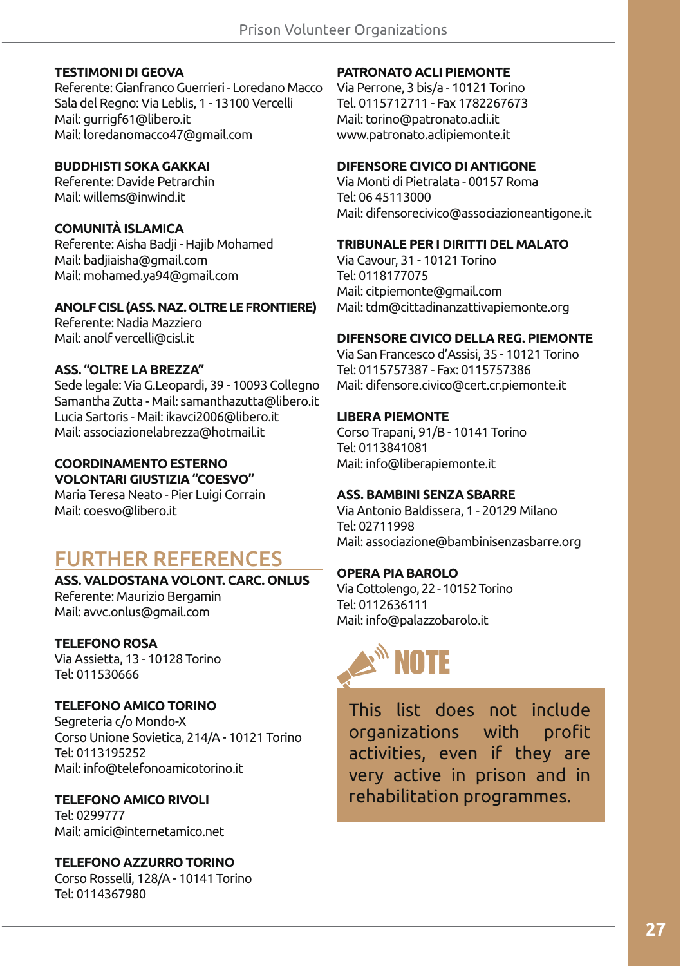#### **TESTIMONI DI GEOVA**

Referente: Gianfranco Guerrieri - Loredano Macco Sala del Regno: Via Leblis, 1 - 13100 Vercelli Mail: gurrigf61@libero.it Mail: loredanomacco47@gmail.com

#### **BUDDHISTI SOKA GAKKAI**

Referente: Davide Petrarchin Mail: willems@inwind.it

#### **COMUNITÀ ISLAMICA**

Referente: Aisha Badji - Hajib Mohamed Mail: badjiaisha@gmail.com Mail: mohamed.ya94@gmail.com

#### **ANOLF CISL (ASS. NAZ. OLTRE LE FRONTIERE)**

Referente: Nadia Mazziero Mail: anolf vercelli@cisl.it

#### **ASS. "OLTRE LA BREZZA"**

Sede legale: Via G.Leopardi, 39 - 10093 Collegno Samantha Zutta - Mail: samanthazutta@libero.it Lucia Sartoris - Mail: ikavci2006@libero.it Mail: associazionelabrezza@hotmail.it

#### **COORDINAMENTO ESTERNO VOLONTARI GIUSTIZIA "COESVO"**

Maria Teresa Neato - Pier Luigi Corrain Mail: coesvo@libero.it

# FURTHER REFERENCES

#### **ASS. VALDOSTANA VOLONT. CARC. ONLUS** Referente: Maurizio Bergamin Mail: avvc.onlus@gmail.com

**TELEFONO ROSA**

Via Assietta, 13 - 10128 Torino Tel: 011530666

#### **TELEFONO AMICO TORINO**

Segreteria c/o Mondo-X Corso Unione Sovietica, 214/A - 10121 Torino Tel: 0113195252 Mail: info@telefonoamicotorino.it

#### **TELEFONO AMICO RIVOLI**

Tel: 0299777 Mail: amici@internetamico.net

## **TELEFONO AZZURRO TORINO**

Corso Rosselli, 128/A - 10141 Torino Tel: 0114367980

#### **PATRONATO ACLI PIEMONTE**

Via Perrone, 3 bis/a - 10121 Torino Tel. 0115712711 - Fax 1782267673 Mail: torino@patronato.acli.it www.patronato.aclipiemonte.it

#### **DIFENSORE CIVICO DI ANTIGONE**

Via Monti di Pietralata - 00157 Roma Tel: 06 45113000 Mail: difensorecivico@associazioneantigone.it

#### **TRIBUNALE PER I DIRITTI DEL MALATO**

Via Cavour, 31 - 10121 Torino Tel: 0118177075 Mail: citpiemonte@gmail.com Mail: tdm@cittadinanzattivapiemonte.org

#### **DIFENSORE CIVICO DELLA REG. PIEMONTE**

Via San Francesco d'Assisi, 35 - 10121 Torino Tel: 0115757387 - Fax: 0115757386 Mail: difensore.civico@cert.cr.piemonte.it

#### **LIBERA PIEMONTE**

Corso Trapani, 91/B - 10141 Torino Tel: 0113841081 Mail: info@liberapiemonte.it

#### **ASS. BAMBINI SENZA SBARRE**

Via Antonio Baldissera, 1 - 20129 Milano Tel: 02711998 Mail: associazione@bambinisenzasbarre.org

#### **OPERA PIA BAROLO**

Via Cottolengo, 22 - 10152 Torino Tel: 0112636111 Mail: info@palazzobarolo.it



This list does not include organizations with profit activities, even if they are very active in prison and in rehabilitation programmes.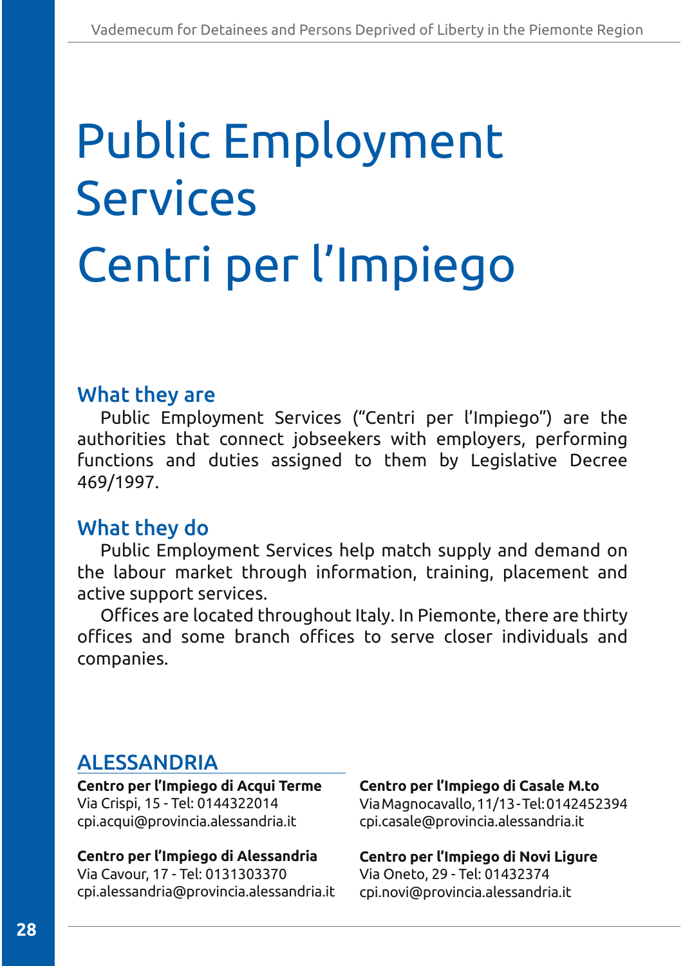# Centri per l'Impiego Public Employment Services

# What they are

Public Employment Services ("Centri per l'Impiego") are the authorities that connect jobseekers with employers, performing functions and duties assigned to them by Legislative Decree 469/1997.

# What they do

Public Employment Services help match supply and demand on the labour market through information, training, placement and active support services.

Offices are located throughout Italy. In Piemonte, there are thirty offices and some branch offices to serve closer individuals and companies.

# ALESSANDRIA

**Centro per l'Impiego di Acqui Terme** Via Crispi, 15 - Tel: 0144322014 cpi.acqui@provincia.alessandria.it

#### **Centro per l'Impiego di Alessandria** Via Cavour, 17 - Tel: 0131303370 cpi.alessandria@provincia.alessandria.it

**Centro per l'Impiego di Casale M.to** Via Magnocavallo, 11/13 - Tel: 0142452394 cpi.casale@provincia.alessandria.it

**Centro per l'Impiego di Novi Ligure**  Via Oneto, 29 - Tel: 01432374 cpi.novi@provincia.alessandria.it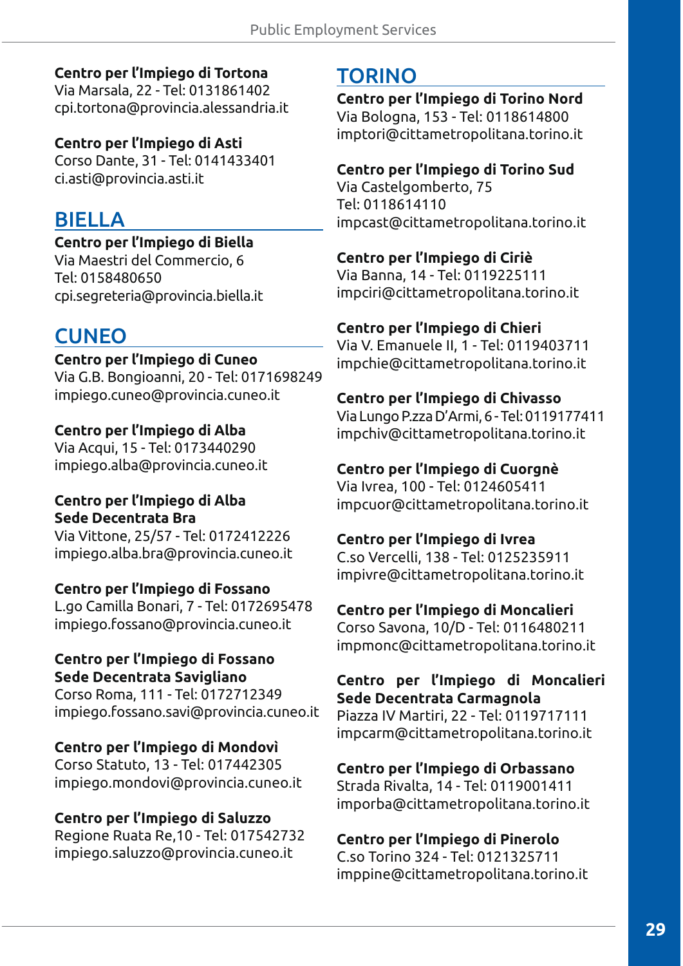### **Centro per l'Impiego di Tortona**

Via Marsala, 22 - Tel: 0131861402 cpi.tortona@provincia.alessandria.it

### **Centro per l'Impiego di Asti**

Corso Dante, 31 - Tel: 0141433401 ci.asti@provincia.asti.it

# BIELLA

### **Centro per l'Impiego di Biella**

Via Maestri del Commercio, 6 Tel: 0158480650 cpi.segreteria@provincia.biella.it

# **CUNEO**

### **Centro per l'Impiego di Cuneo**

Via G.B. Bongioanni, 20 - Tel: 0171698249 impiego.cuneo@provincia.cuneo.it

## **Centro per l'Impiego di Alba**

Via Acqui, 15 - Tel: 0173440290 impiego.alba@provincia.cuneo.it

### **Centro per l'Impiego di Alba Sede Decentrata Bra**

Via Vittone, 25/57 - Tel: 0172412226 impiego.alba.bra@provincia.cuneo.it

### **Centro per l'Impiego di Fossano**

L.go Camilla Bonari, 7 - Tel: 0172695478 impiego.fossano@provincia.cuneo.it

#### **Centro per l'Impiego di Fossano Sede Decentrata Savigliano**

Corso Roma, 111 - Tel: 0172712349 impiego.fossano.savi@provincia.cuneo.it

**Centro per l'Impiego di Mondovì** Corso Statuto, 13 - Tel: 017442305 impiego.mondovi@provincia.cuneo.it

### **Centro per l'Impiego di Saluzzo**

Regione Ruata Re, 10 - Tel: 017542732 impiego.saluzzo@provincia.cuneo.it

# TORINO

**Centro per l'Impiego di Torino Nord** Via Bologna, 153 - Tel: 0118614800 imptori@cittametropolitana.torino.it

## **Centro per l'Impiego di Torino Sud**

Via Castelgomberto, 75 Tel: 0118614110 impcast@cittametropolitana.torino.it

## **Centro per l'Impiego di Ciriè**

Via Banna, 14 - Tel: 0119225111 impciri@cittametropolitana.torino.it

## **Centro per l'Impiego di Chieri**

Via V. Emanuele II, 1 - Tel: 0119403711 impchie@cittametropolitana.torino.it

## **Centro per l'Impiego di Chivasso**

Via Lungo P.zza D'Armi, 6 - Tel: 0119177411 impchiv@cittametropolitana.torino.it

## **Centro per l'Impiego di Cuorgnè**

Via Ivrea, 100 - Tel: 0124605411 impcuor@cittametropolitana.torino.it

### **Centro per l'Impiego di Ivrea**

C.so Vercelli, 138 - Tel: 0125235911 impivre@cittametropolitana.torino.it

### **Centro per l'Impiego di Moncalieri**

Corso Savona, 10/D - Tel: 0116480211 impmonc@cittametropolitana.torino.it

#### **Centro per l'Impiego di Moncalieri Sede Decentrata Carmagnola**

Piazza IV Martiri, 22 - Tel: 0119717111 impcarm@cittametropolitana.torino.it

## **Centro per l'Impiego di Orbassano**

Strada Rivalta, 14 - Tel: 0119001411 imporba@cittametropolitana.torino.it

## **Centro per l'Impiego di Pinerolo**

C.so Torino 324 - Tel: 0121325711 imppine@cittametropolitana.torino.it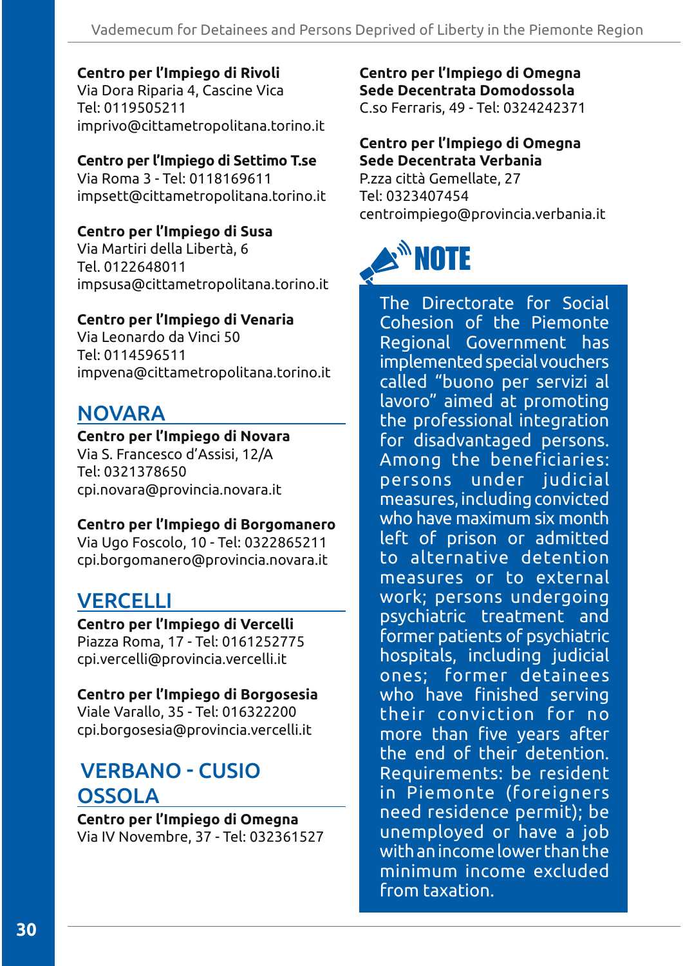#### **Centro per l'Impiego di Rivoli**

Via Dora Riparia 4, Cascine Vica Tel: 0119505211 imprivo@cittametropolitana.torino.it

## **Centro per l'Impiego di Settimo T.se**

Via Roma 3 - Tel: 0118169611 impsett@cittametropolitana.torino.it

### **Centro per l'Impiego di Susa**

Via Martiri della Libertà, 6 Tel. 0122648011 impsusa@cittametropolitana.torino.it

### **Centro per l'Impiego di Venaria**

Via Leonardo da Vinci 50 Tel: 0114596511 impvena@cittametropolitana.torino.it

# NOVARA

#### **Centro per l'Impiego di Novara**

Via S. Francesco d'Assisi, 12/A Tel: 0321378650 cpi.novara@provincia.novara.it

#### **Centro per l'Impiego di Borgomanero**

Via Ugo Foscolo, 10 - Tel: 0322865211 cpi.borgomanero@provincia.novara.it

## **VERCELLI**

**Centro per l'Impiego di Vercelli**  Piazza Roma, 17 - Tel: 0161252775 cpi.vercelli@provincia.vercelli.it

#### **Centro per l'Impiego di Borgosesia**

Viale Varallo, 35 - Tel: 016322200 cpi.borgosesia@provincia.vercelli.it

# **VERBANO - CUSIO OSSOLA**

**Centro per l'Impiego di Omegna** Via IV Novembre, 37 - Tel: 032361527 **Centro per l'Impiego di Omegna Sede Decentrata Domodossola** C.so Ferraris, 49 - Tel: 0324242371

### **Centro per l'Impiego di Omegna Sede Decentrata Verbania**

P.zza città Gemellate, 27 Tel: 0323407454 centroimpiego@provincia.verbania.it



The Directorate for Social Cohesion of the Piemonte Regional Government has implemented special vouchers called "buono per servizi al lavoro" aimed at promoting the professional integration for disadvantaged persons. Among the beneficiaries: persons under judicial measures, including convicted who have maximum six month left of prison or admitted to alternative detention measures or to external work; persons undergoing psychiatric treatment and former patients of psychiatric hospitals, including judicial ones; former detainees who have finished serving their conviction for no more than five years after the end of their detention. Requirements: be resident in Piemonte (foreigners need residence permit); be unemployed or have a job with an income lower than the minimum income excluded from taxation.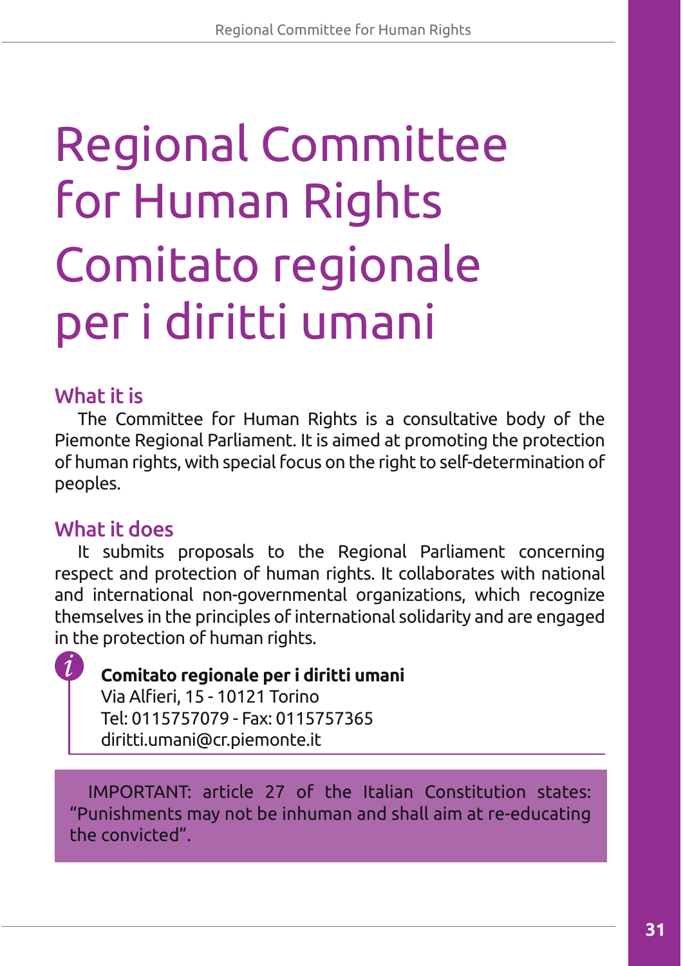# Comitato regionale per i diritti umani Regional Committee for Human Rights

# What it is

The Committee for Human Rights is a consultative body of the Piemonte Regional Parliament. It is aimed at promoting the protection of human rights, with special focus on the right to self-determination of peoples.

# What it does

It submits proposals to the Regional Parliament concerning respect and protection of human rights. It collaborates with national and international non-governmental organizations, which recognize themselves in the principles of international solidarity and are engaged in the protection of human rights.

**Comitato regionale per i diritti umani** Via Alfieri, 15 - 10121 Torino Tel: 0115757079 - Fax: 0115757365 diritti.umani@cr.piemonte.it

IMPORTANT: article 27 of the Italian Constitution states: "Punishments may not be inhuman and shall aim at re-educating the convicted".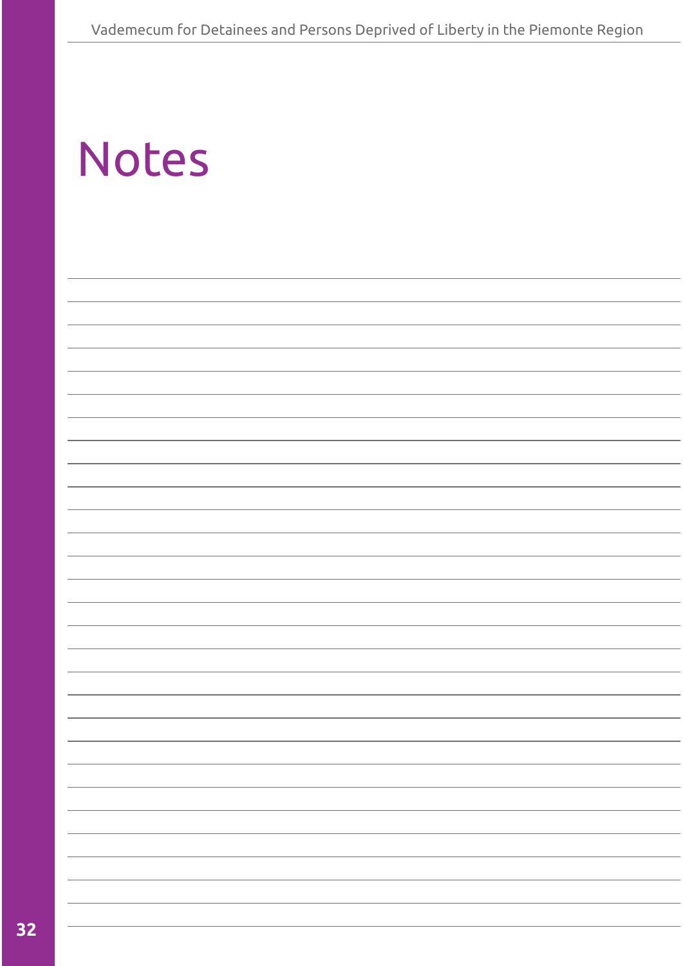| <b>Notes</b> |  |
|--------------|--|
|--------------|--|

|  |  | ۰ |
|--|--|---|
|  |  |   |
|  |  |   |
|  |  |   |
|  |  |   |
|  |  |   |